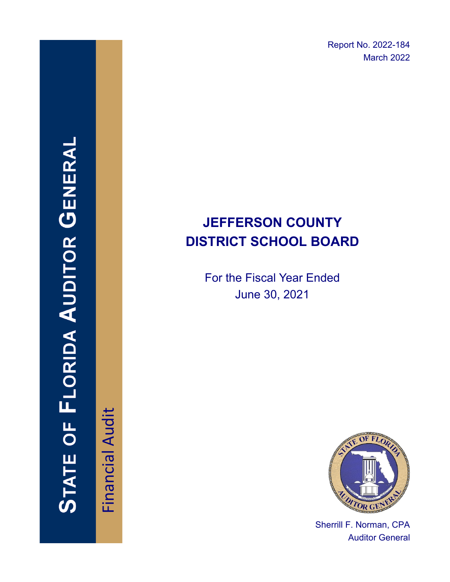Report No. 2022-184 March 2022

# STATE OF FLORIDA AUDITOR GENERAI

Financial Audit Financial Audit

# **JEFFERSON COUNTY DISTRICT SCHOOL BOARD**

For the Fiscal Year Ended June 30, 2021



Sherrill F. Norman, CPA Auditor General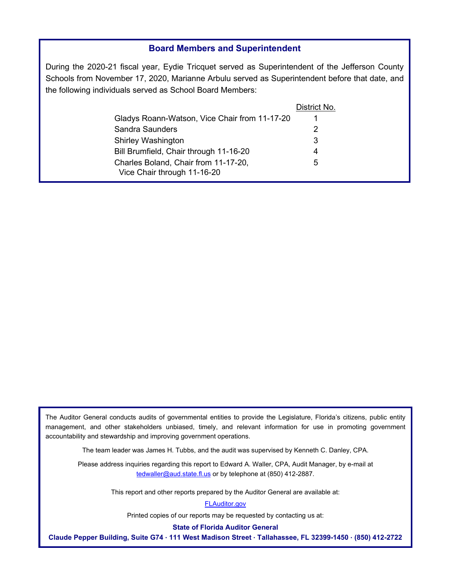#### **Board Members and Superintendent**

During the 2020-21 fiscal year, Eydie Tricquet served as Superintendent of the Jefferson County Schools from November 17, 2020, Marianne Arbulu served as Superintendent before that date, and the following individuals served as School Board Members:

|                                                                     | District No. |
|---------------------------------------------------------------------|--------------|
| Gladys Roann-Watson, Vice Chair from 11-17-20                       |              |
| Sandra Saunders                                                     | 2            |
| <b>Shirley Washington</b>                                           | 3            |
| Bill Brumfield, Chair through 11-16-20                              |              |
| Charles Boland, Chair from 11-17-20,<br>Vice Chair through 11-16-20 | 5            |

The Auditor General conducts audits of governmental entities to provide the Legislature, Florida's citizens, public entity management, and other stakeholders unbiased, timely, and relevant information for use in promoting government accountability and stewardship and improving government operations.

The team leader was James H. Tubbs, and the audit was supervised by Kenneth C. Danley, CPA.

Please address inquiries regarding this report to Edward A. Waller, CPA, Audit Manager, by e-mail at [tedwaller@aud.state.fl.us](mailto:tedwaller@aud.state.fl.us) or by telephone at (850) 412-2887.

This report and other reports prepared by the Auditor General are available at:

[FLAuditor.gov](https://flauditor.gov/)

Printed copies of our reports may be requested by contacting us at:

**State of Florida Auditor General**

**Claude Pepper Building, Suite G74 ∙ 111 West Madison Street ∙ Tallahassee, FL 32399-1450 ∙ (850) 412-2722**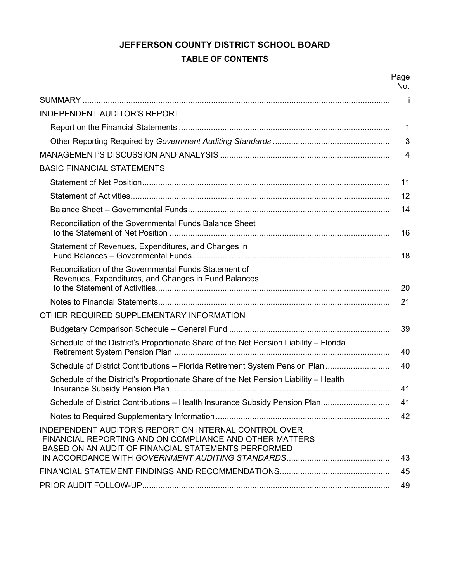# **JEFFERSON COUNTY DISTRICT SCHOOL BOARD TABLE OF CONTENTS**

|                                                                                                                                                                         | Page<br>No. |
|-------------------------------------------------------------------------------------------------------------------------------------------------------------------------|-------------|
|                                                                                                                                                                         | -i          |
| <b>INDEPENDENT AUDITOR'S REPORT</b>                                                                                                                                     |             |
|                                                                                                                                                                         | 1           |
|                                                                                                                                                                         | 3           |
|                                                                                                                                                                         | 4           |
| <b>BASIC FINANCIAL STATEMENTS</b>                                                                                                                                       |             |
|                                                                                                                                                                         | 11          |
|                                                                                                                                                                         | 12          |
|                                                                                                                                                                         | 14          |
| Reconciliation of the Governmental Funds Balance Sheet                                                                                                                  | 16          |
| Statement of Revenues, Expenditures, and Changes in                                                                                                                     | 18          |
| Reconciliation of the Governmental Funds Statement of<br>Revenues, Expenditures, and Changes in Fund Balances                                                           | 20          |
|                                                                                                                                                                         | 21          |
| OTHER REQUIRED SUPPLEMENTARY INFORMATION                                                                                                                                |             |
|                                                                                                                                                                         | 39          |
| Schedule of the District's Proportionate Share of the Net Pension Liability - Florida                                                                                   | 40          |
| Schedule of District Contributions - Florida Retirement System Pension Plan                                                                                             | 40          |
| Schedule of the District's Proportionate Share of the Net Pension Liability - Health                                                                                    | 41          |
| Schedule of District Contributions - Health Insurance Subsidy Pension Plan                                                                                              | 41          |
|                                                                                                                                                                         | 42          |
| INDEPENDENT AUDITOR'S REPORT ON INTERNAL CONTROL OVER<br>FINANCIAL REPORTING AND ON COMPLIANCE AND OTHER MATTERS<br>BASED ON AN AUDIT OF FINANCIAL STATEMENTS PERFORMED | 43          |
|                                                                                                                                                                         | 45          |
|                                                                                                                                                                         | 49          |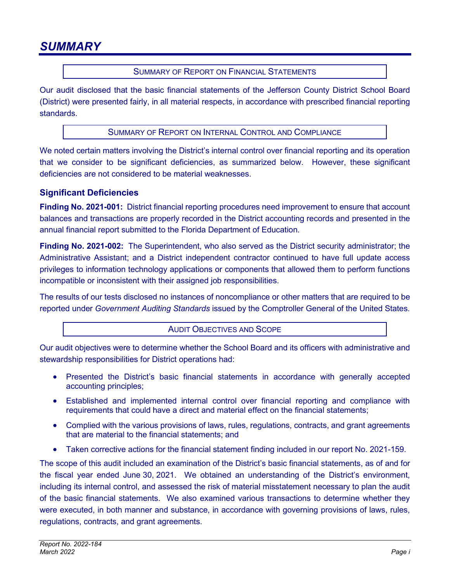#### SUMMARY OF REPORT ON FINANCIAL STATEMENTS

<span id="page-3-0"></span>Our audit disclosed that the basic financial statements of the Jefferson County District School Board (District) were presented fairly, in all material respects, in accordance with prescribed financial reporting standards.

#### SUMMARY OF REPORT ON INTERNAL CONTROL AND COMPLIANCE

We noted certain matters involving the District's internal control over financial reporting and its operation that we consider to be significant deficiencies, as summarized below. However, these significant deficiencies are not considered to be material weaknesses.

#### **Significant Deficiencies**

**Finding No. 2021-001:** District financial reporting procedures need improvement to ensure that account balances and transactions are properly recorded in the District accounting records and presented in the annual financial report submitted to the Florida Department of Education.

**Finding No. 2021-002:** The Superintendent, who also served as the District security administrator; the Administrative Assistant; and a District independent contractor continued to have full update access privileges to information technology applications or components that allowed them to perform functions incompatible or inconsistent with their assigned job responsibilities.

The results of our tests disclosed no instances of noncompliance or other matters that are required to be reported under *Government Auditing Standards* issued by the Comptroller General of the United States*.* 

#### AUDIT OBJECTIVES AND SCOPE

Our audit objectives were to determine whether the School Board and its officers with administrative and stewardship responsibilities for District operations had:

- Presented the District's basic financial statements in accordance with generally accepted accounting principles;
- Established and implemented internal control over financial reporting and compliance with requirements that could have a direct and material effect on the financial statements;
- Complied with the various provisions of laws, rules, regulations, contracts, and grant agreements that are material to the financial statements; and
- Taken corrective actions for the financial statement finding included in our report No. 2021-159.

The scope of this audit included an examination of the District's basic financial statements, as of and for the fiscal year ended June 30, 2021. We obtained an understanding of the District's environment, including its internal control, and assessed the risk of material misstatement necessary to plan the audit of the basic financial statements. We also examined various transactions to determine whether they were executed, in both manner and substance, in accordance with governing provisions of laws, rules, regulations, contracts, and grant agreements.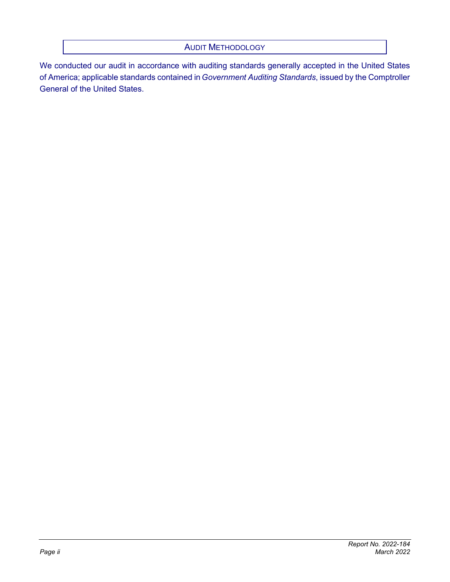#### AUDIT METHODOLOGY

We conducted our audit in accordance with auditing standards generally accepted in the United States of America; applicable standards contained in*Government Auditing Standards*, issued by the Comptroller General of the United States.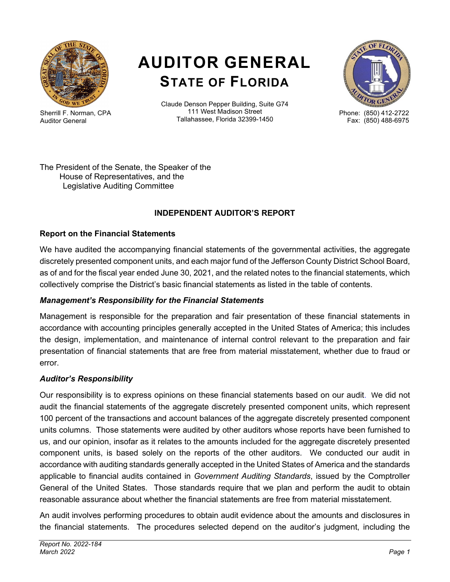<span id="page-5-1"></span>

Sherrill F. Norman, CPA Auditor General

# **AUDITOR GENERAL STATE OF FLORIDA**

Claude Denson Pepper Building, Suite G74 111 West Madison Street Tallahassee, Florida 32399-1450



Phone: (850) 412-2722 Fax: (850) 488-6975

The President of the Senate, the Speaker of the House of Representatives, and the Legislative Auditing Committee

### **INDEPENDENT AUDITOR'S REPORT**

### <span id="page-5-0"></span>**Report on the Financial Statements**

We have audited the accompanying financial statements of the governmental activities, the aggregate discretely presented component units, and each major fund of the Jefferson County District School Board, as of and for the fiscal year ended June 30, 2021, and the related notes to the financial statements, which collectively comprise the District's basic financial statements as listed in the table of contents.

### *Management's Responsibility for the Financial Statements*

Management is responsible for the preparation and fair presentation of these financial statements in accordance with accounting principles generally accepted in the United States of America; this includes the design, implementation, and maintenance of internal control relevant to the preparation and fair presentation of financial statements that are free from material misstatement, whether due to fraud or error.

# *Auditor's Responsibility*

Our responsibility is to express opinions on these financial statements based on our audit. We did not audit the financial statements of the aggregate discretely presented component units, which represent 100 percent of the transactions and account balances of the aggregate discretely presented component units columns. Those statements were audited by other auditors whose reports have been furnished to us, and our opinion, insofar as it relates to the amounts included for the aggregate discretely presented component units, is based solely on the reports of the other auditors. We conducted our audit in accordance with auditing standards generally accepted in the United States of America and the standards applicable to financial audits contained in *Government Auditing Standards*, issued by the Comptroller General of the United States. Those standards require that we plan and perform the audit to obtain reasonable assurance about whether the financial statements are free from material misstatement.

An audit involves performing procedures to obtain audit evidence about the amounts and disclosures in the financial statements. The procedures selected depend on the auditor's judgment, including the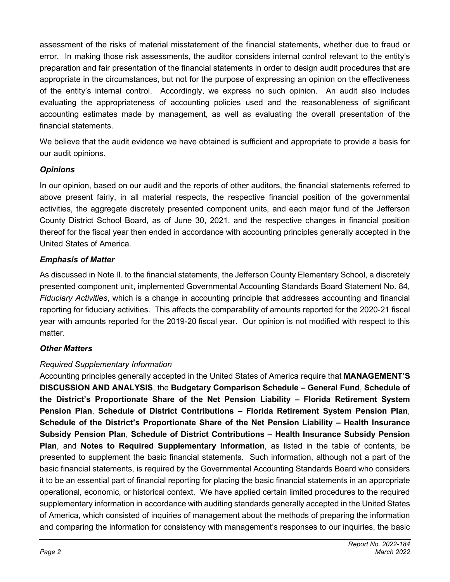assessment of the risks of material misstatement of the financial statements, whether due to fraud or error. In making those risk assessments, the auditor considers internal control relevant to the entity's preparation and fair presentation of the financial statements in order to design audit procedures that are appropriate in the circumstances, but not for the purpose of expressing an opinion on the effectiveness of the entity's internal control. Accordingly, we express no such opinion. An audit also includes evaluating the appropriateness of accounting policies used and the reasonableness of significant accounting estimates made by management, as well as evaluating the overall presentation of the financial statements.

We believe that the audit evidence we have obtained is sufficient and appropriate to provide a basis for our audit opinions.

#### *Opinions*

In our opinion, based on our audit and the reports of other auditors, the financial statements referred to above present fairly, in all material respects, the respective financial position of the governmental activities, the aggregate discretely presented component units, and each major fund of the Jefferson County District School Board, as of June 30, 2021, and the respective changes in financial position thereof for the fiscal year then ended in accordance with accounting principles generally accepted in the United States of America.

#### *Emphasis of Matter*

As discussed in Note II. to the financial statements, the Jefferson County Elementary School, a discretely presented component unit, implemented Governmental Accounting Standards Board Statement No. 84, *Fiduciary Activities*, which is a change in accounting principle that addresses accounting and financial reporting for fiduciary activities. This affects the comparability of amounts reported for the 2020-21 fiscal year with amounts reported for the 2019-20 fiscal year. Our opinion is not modified with respect to this matter.

### *Other Matters*

### *Required Supplementary Information*

Accounting principles generally accepted in the United States of America require that **MANAGEMENT'S DISCUSSION AND ANALYSIS**, the **Budgetary Comparison Schedule – General Fund**, **Schedule of the District's Proportionate Share of the Net Pension Liability – Florida Retirement System Pension Plan**, **Schedule of District Contributions – Florida Retirement System Pension Plan**, **Schedule of the District's Proportionate Share of the Net Pension Liability – Health Insurance Subsidy Pension Plan**, **Schedule of District Contributions – Health Insurance Subsidy Pension Plan**, and **Notes to Required Supplementary Information**, as listed in the table of contents, be presented to supplement the basic financial statements. Such information, although not a part of the basic financial statements, is required by the Governmental Accounting Standards Board who considers it to be an essential part of financial reporting for placing the basic financial statements in an appropriate operational, economic, or historical context. We have applied certain limited procedures to the required supplementary information in accordance with auditing standards generally accepted in the United States of America, which consisted of inquiries of management about the methods of preparing the information and comparing the information for consistency with management's responses to our inquiries, the basic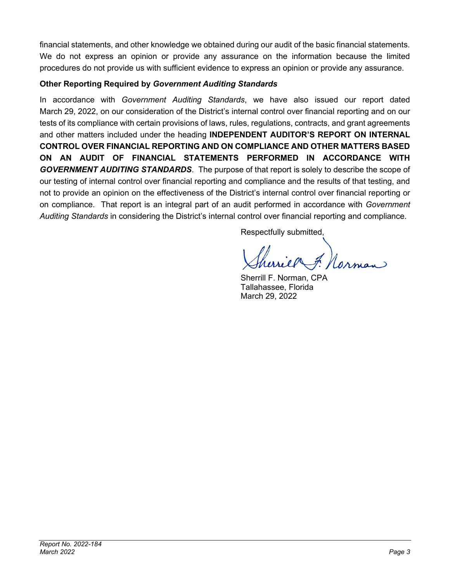<span id="page-7-1"></span>financial statements, and other knowledge we obtained during our audit of the basic financial statements. We do not express an opinion or provide any assurance on the information because the limited procedures do not provide us with sufficient evidence to express an opinion or provide any assurance.

#### <span id="page-7-0"></span>**Other Reporting Required by** *Government Auditing Standards*

In accordance with *Government Auditing Standards*, we have also issued our report dated March 29, 2022, on our consideration of the District's internal control over financial reporting and on our tests of its compliance with certain provisions of laws, rules, regulations, contracts, and grant agreements and other matters included under the heading **INDEPENDENT AUDITOR'S REPORT ON INTERNAL CONTROL OVER FINANCIAL REPORTING AND ON COMPLIANCE AND OTHER MATTERS BASED ON AN AUDIT OF FINANCIAL STATEMENTS PERFORMED IN ACCORDANCE WITH**  *GOVERNMENT AUDITING STANDARDS*. The purpose of that report is solely to describe the scope of our testing of internal control over financial reporting and compliance and the results of that testing, and not to provide an opinion on the effectiveness of the District's internal control over financial reporting or on compliance. That report is an integral part of an audit performed in accordance with *Government Auditing Standards* in considering the District's internal control over financial reporting and compliance.

Respectfully submitted,

Sherrill F. Norman, CPA Tallahassee, Florida March 29, 2022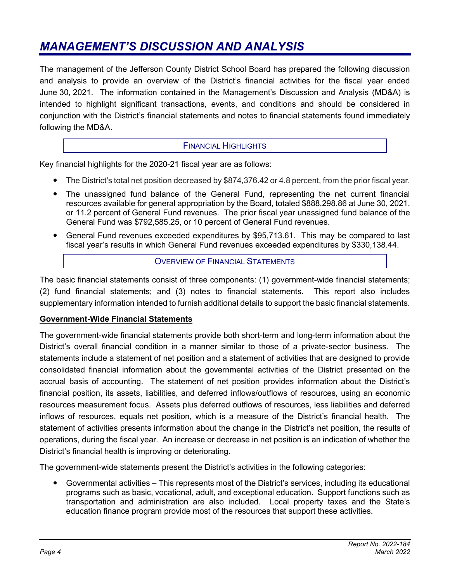# <span id="page-8-1"></span><span id="page-8-0"></span>*MANAGEMENT'S DISCUSSION AND ANALYSIS*

The management of the Jefferson County District School Board has prepared the following discussion and analysis to provide an overview of the District's financial activities for the fiscal year ended June 30, 2021. The information contained in the Management's Discussion and Analysis (MD&A) is intended to highlight significant transactions, events, and conditions and should be considered in conjunction with the District's financial statements and notes to financial statements found immediately following the MD&A.

#### FINANCIAL HIGHLIGHTS

Key financial highlights for the 2020-21 fiscal year are as follows:

- The District's total net position decreased by \$874,376.42 or 4.8 percent, from the prior fiscal year.
- The unassigned fund balance of the General Fund, representing the net current financial resources available for general appropriation by the Board, totaled \$888,298.86 at June 30, 2021, or 11.2 percent of General Fund revenues. The prior fiscal year unassigned fund balance of the General Fund was \$792,585.25, or 10 percent of General Fund revenues.
- General Fund revenues exceeded expenditures by \$95,713.61. This may be compared to last fiscal year's results in which General Fund revenues exceeded expenditures by \$330,138.44.

#### OVERVIEW OF FINANCIAL STATEMENTS

The basic financial statements consist of three components: (1) government-wide financial statements; (2) fund financial statements; and (3) notes to financial statements. This report also includes supplementary information intended to furnish additional details to support the basic financial statements.

#### **Government-Wide Financial Statements**

The government-wide financial statements provide both short-term and long-term information about the District's overall financial condition in a manner similar to those of a private-sector business. The statements include a statement of net position and a statement of activities that are designed to provide consolidated financial information about the governmental activities of the District presented on the accrual basis of accounting. The statement of net position provides information about the District's financial position, its assets, liabilities, and deferred inflows/outflows of resources, using an economic resources measurement focus. Assets plus deferred outflows of resources, less liabilities and deferred inflows of resources, equals net position, which is a measure of the District's financial health. The statement of activities presents information about the change in the District's net position, the results of operations, during the fiscal year. An increase or decrease in net position is an indication of whether the District's financial health is improving or deteriorating.

The government-wide statements present the District's activities in the following categories:

 Governmental activities – This represents most of the District's services, including its educational programs such as basic, vocational, adult, and exceptional education. Support functions such as transportation and administration are also included. Local property taxes and the State's education finance program provide most of the resources that support these activities.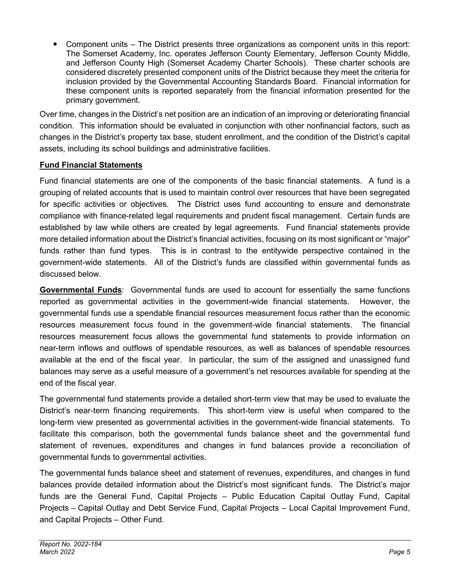Component units – The District presents three organizations as component units in this report: The Somerset Academy, Inc. operates Jefferson County Elementary, Jefferson County Middle, and Jefferson County High (Somerset Academy Charter Schools). These charter schools are considered discretely presented component units of the District because they meet the criteria for inclusion provided by the Governmental Accounting Standards Board. Financial information for these component units is reported separately from the financial information presented for the primary government.

Over time, changes in the District's net position are an indication of an improving or deteriorating financial condition. This information should be evaluated in conjunction with other nonfinancial factors, such as changes in the District's property tax base, student enrollment, and the condition of the District's capital assets, including its school buildings and administrative facilities.

#### **Fund Financial Statements**

Fund financial statements are one of the components of the basic financial statements. A fund is a grouping of related accounts that is used to maintain control over resources that have been segregated for specific activities or objectives. The District uses fund accounting to ensure and demonstrate compliance with finance-related legal requirements and prudent fiscal management. Certain funds are established by law while others are created by legal agreements. Fund financial statements provide more detailed information about the District's financial activities, focusing on its most significant or "major" funds rather than fund types. This is in contrast to the entitywide perspective contained in the government-wide statements. All of the District's funds are classified within governmental funds as discussed below.

**Governmental Funds**: Governmental funds are used to account for essentially the same functions reported as governmental activities in the government-wide financial statements. However, the governmental funds use a spendable financial resources measurement focus rather than the economic resources measurement focus found in the government-wide financial statements. The financial resources measurement focus allows the governmental fund statements to provide information on near-term inflows and outflows of spendable resources, as well as balances of spendable resources available at the end of the fiscal year. In particular, the sum of the assigned and unassigned fund balances may serve as a useful measure of a government's net resources available for spending at the end of the fiscal year.

The governmental fund statements provide a detailed short-term view that may be used to evaluate the District's near-term financing requirements. This short-term view is useful when compared to the long-term view presented as governmental activities in the government-wide financial statements. To facilitate this comparison, both the governmental funds balance sheet and the governmental fund statement of revenues, expenditures and changes in fund balances provide a reconciliation of governmental funds to governmental activities.

The governmental funds balance sheet and statement of revenues, expenditures, and changes in fund balances provide detailed information about the District's most significant funds. The District's major funds are the General Fund, Capital Projects – Public Education Capital Outlay Fund, Capital Projects – Capital Outlay and Debt Service Fund, Capital Projects – Local Capital Improvement Fund, and Capital Projects – Other Fund.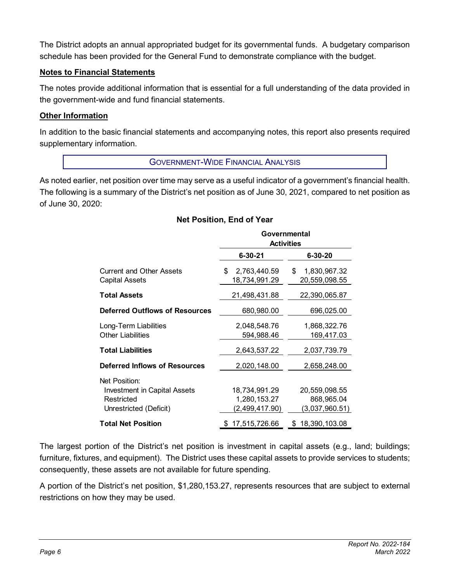The District adopts an annual appropriated budget for its governmental funds. A budgetary comparison schedule has been provided for the General Fund to demonstrate compliance with the budget.

#### **Notes to Financial Statements**

The notes provide additional information that is essential for a full understanding of the data provided in the government-wide and fund financial statements.

#### **Other Information**

In addition to the basic financial statements and accompanying notes, this report also presents required supplementary information.

GOVERNMENT-WIDE FINANCIAL ANALYSIS

As noted earlier, net position over time may serve as a useful indicator of a government's financial health. The following is a summary of the District's net position as of June 30, 2021, compared to net position as of June 30, 2020:

#### **Net Position, End of Year**

|                                                                                              | Governmental<br><b>Activities</b>               |                                               |  |  |
|----------------------------------------------------------------------------------------------|-------------------------------------------------|-----------------------------------------------|--|--|
|                                                                                              | $6 - 30 - 21$                                   | $6 - 30 - 20$                                 |  |  |
| <b>Current and Other Assets</b><br><b>Capital Assets</b>                                     | \$<br>2,763,440.59<br>18,734,991.29             | 1,830,967.32<br>\$<br>20,559,098.55           |  |  |
| <b>Total Assets</b>                                                                          | 21,498,431.88                                   | 22,390,065.87                                 |  |  |
| <b>Deferred Outflows of Resources</b>                                                        | 680,980.00                                      | 696,025.00                                    |  |  |
| Long-Term Liabilities<br><b>Other Liabilities</b>                                            | 2,048,548.76<br>594,988.46                      | 1,868,322.76<br>169,417.03                    |  |  |
| <b>Total Liabilities</b>                                                                     | 2,643,537.22                                    | 2,037,739.79                                  |  |  |
| <b>Deferred Inflows of Resources</b>                                                         | 2,020,148.00                                    | 2,658,248.00                                  |  |  |
| Net Position:<br><b>Investment in Capital Assets</b><br>Restricted<br>Unrestricted (Deficit) | 18,734,991.29<br>1,280,153.27<br>(2,499,417.90) | 20,559,098.55<br>868,965.04<br>(3,037,960.51) |  |  |
| <b>Total Net Position</b>                                                                    | \$17,515,726.66                                 | \$18,390,103.08                               |  |  |

The largest portion of the District's net position is investment in capital assets (e.g., land; buildings; furniture, fixtures, and equipment). The District uses these capital assets to provide services to students; consequently, these assets are not available for future spending.

A portion of the District's net position, \$1,280,153.27, represents resources that are subject to external restrictions on how they may be used.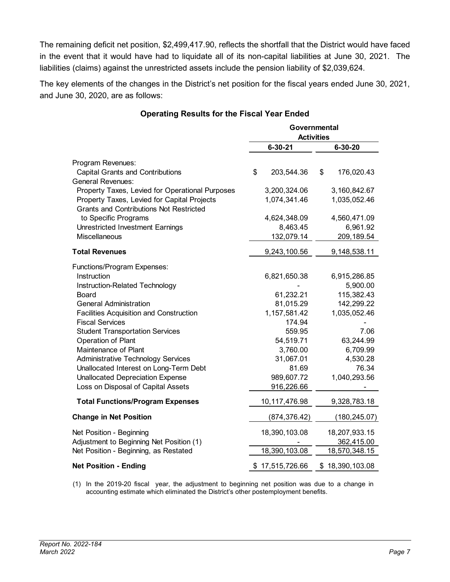The remaining deficit net position, \$2,499,417.90, reflects the shortfall that the District would have faced in the event that it would have had to liquidate all of its non-capital liabilities at June 30, 2021. The liabilities (claims) against the unrestricted assets include the pension liability of \$2,039,624.

The key elements of the changes in the District's net position for the fiscal years ended June 30, 2021, and June 30, 2020, are as follows:

|                                                                                               | Governmental      |                 |    |                 |
|-----------------------------------------------------------------------------------------------|-------------------|-----------------|----|-----------------|
|                                                                                               | <b>Activities</b> |                 |    |                 |
|                                                                                               |                   | 6-30-21         |    | 6-30-20         |
| Program Revenues:                                                                             |                   |                 |    |                 |
| <b>Capital Grants and Contributions</b>                                                       | \$                | 203,544.36      | \$ | 176,020.43      |
| <b>General Revenues:</b>                                                                      |                   |                 |    |                 |
| Property Taxes, Levied for Operational Purposes                                               |                   | 3,200,324.06    |    | 3,160,842.67    |
| Property Taxes, Levied for Capital Projects<br><b>Grants and Contributions Not Restricted</b> |                   | 1,074,341.46    |    | 1,035,052.46    |
| to Specific Programs                                                                          |                   | 4,624,348.09    |    | 4,560,471.09    |
| Unrestricted Investment Earnings                                                              |                   | 8,463.45        |    | 6,961.92        |
| Miscellaneous                                                                                 |                   | 132,079.14      |    | 209,189.54      |
| <b>Total Revenues</b>                                                                         |                   | 9,243,100.56    |    | 9,148,538.11    |
| Functions/Program Expenses:                                                                   |                   |                 |    |                 |
| Instruction                                                                                   |                   | 6,821,650.38    |    | 6,915,286.85    |
| Instruction-Related Technology                                                                |                   |                 |    | 5,900.00        |
| Board                                                                                         |                   | 61,232.21       |    | 115,382.43      |
| <b>General Administration</b>                                                                 |                   | 81,015.29       |    | 142,299.22      |
| Facilities Acquisition and Construction                                                       |                   | 1,157,581.42    |    | 1,035,052.46    |
| <b>Fiscal Services</b>                                                                        |                   | 174.94          |    |                 |
| <b>Student Transportation Services</b>                                                        |                   | 559.95          |    | 7.06            |
| Operation of Plant                                                                            |                   | 54,519.71       |    | 63,244.99       |
| Maintenance of Plant                                                                          |                   | 3,760.00        |    | 6,709.99        |
| Administrative Technology Services                                                            |                   | 31,067.01       |    | 4,530.28        |
| Unallocated Interest on Long-Term Debt                                                        |                   | 81.69           |    | 76.34           |
| <b>Unallocated Depreciation Expense</b>                                                       |                   | 989,607.72      |    | 1,040,293.56    |
| Loss on Disposal of Capital Assets                                                            |                   | 916,226.66      |    |                 |
| <b>Total Functions/Program Expenses</b>                                                       |                   | 10,117,476.98   |    | 9,328,783.18    |
| <b>Change in Net Position</b>                                                                 |                   | (874, 376.42)   |    | (180,245.07)    |
| Net Position - Beginning                                                                      |                   | 18,390,103.08   |    | 18,207,933.15   |
| Adjustment to Beginning Net Position (1)                                                      |                   |                 |    | 362,415.00      |
| Net Position - Beginning, as Restated                                                         |                   | 18,390,103.08   |    | 18,570,348.15   |
| <b>Net Position - Ending</b>                                                                  |                   | \$17,515,726.66 |    | \$18,390,103.08 |

#### **Operating Results for the Fiscal Year Ended**

(1) In the 2019-20 fiscal year, the adjustment to beginning net position was due to a change in accounting estimate which eliminated the District's other postemployment benefits.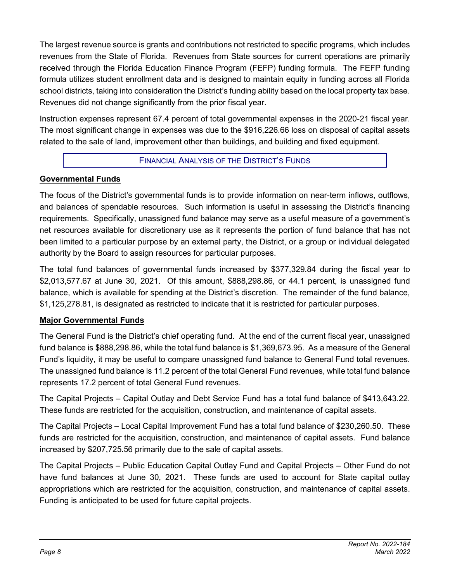The largest revenue source is grants and contributions not restricted to specific programs, which includes revenues from the State of Florida. Revenues from State sources for current operations are primarily received through the Florida Education Finance Program (FEFP) funding formula. The FEFP funding formula utilizes student enrollment data and is designed to maintain equity in funding across all Florida school districts, taking into consideration the District's funding ability based on the local property tax base. Revenues did not change significantly from the prior fiscal year.

Instruction expenses represent 67.4 percent of total governmental expenses in the 2020-21 fiscal year. The most significant change in expenses was due to the \$916,226.66 loss on disposal of capital assets related to the sale of land, improvement other than buildings, and building and fixed equipment.

#### FINANCIAL ANALYSIS OF THE DISTRICT'S FUNDS

#### **Governmental Funds**

The focus of the District's governmental funds is to provide information on near-term inflows, outflows, and balances of spendable resources. Such information is useful in assessing the District's financing requirements. Specifically, unassigned fund balance may serve as a useful measure of a government's net resources available for discretionary use as it represents the portion of fund balance that has not been limited to a particular purpose by an external party, the District, or a group or individual delegated authority by the Board to assign resources for particular purposes.

The total fund balances of governmental funds increased by \$377,329.84 during the fiscal year to \$2,013,577.67 at June 30, 2021. Of this amount, \$888,298.86, or 44.1 percent, is unassigned fund balance, which is available for spending at the District's discretion. The remainder of the fund balance, \$1,125,278.81, is designated as restricted to indicate that it is restricted for particular purposes.

#### **Major Governmental Funds**

The General Fund is the District's chief operating fund. At the end of the current fiscal year, unassigned fund balance is \$888,298.86, while the total fund balance is \$1,369,673.95. As a measure of the General Fund's liquidity, it may be useful to compare unassigned fund balance to General Fund total revenues. The unassigned fund balance is 11.2 percent of the total General Fund revenues, while total fund balance represents 17.2 percent of total General Fund revenues.

The Capital Projects – Capital Outlay and Debt Service Fund has a total fund balance of \$413,643.22. These funds are restricted for the acquisition, construction, and maintenance of capital assets.

The Capital Projects – Local Capital Improvement Fund has a total fund balance of \$230,260.50. These funds are restricted for the acquisition, construction, and maintenance of capital assets. Fund balance increased by \$207,725.56 primarily due to the sale of capital assets.

The Capital Projects – Public Education Capital Outlay Fund and Capital Projects – Other Fund do not have fund balances at June 30, 2021. These funds are used to account for State capital outlay appropriations which are restricted for the acquisition, construction, and maintenance of capital assets. Funding is anticipated to be used for future capital projects.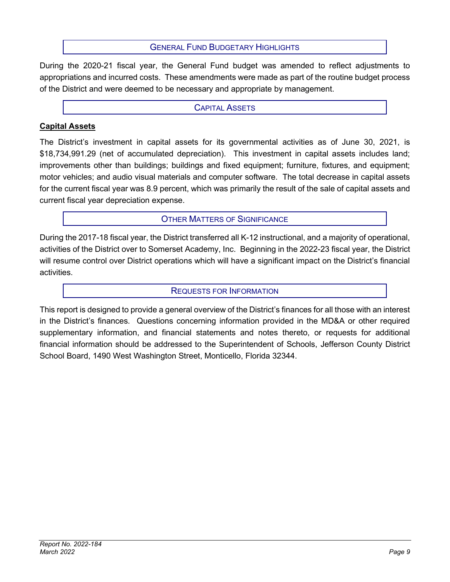#### GENERAL FUND BUDGETARY HIGHLIGHTS

During the 2020-21 fiscal year, the General Fund budget was amended to reflect adjustments to appropriations and incurred costs. These amendments were made as part of the routine budget process of the District and were deemed to be necessary and appropriate by management.

#### CAPITAL ASSETS

#### **Capital Assets**

The District's investment in capital assets for its governmental activities as of June 30, 2021, is \$18,734,991.29 (net of accumulated depreciation). This investment in capital assets includes land; improvements other than buildings; buildings and fixed equipment; furniture, fixtures, and equipment; motor vehicles; and audio visual materials and computer software. The total decrease in capital assets for the current fiscal year was 8.9 percent, which was primarily the result of the sale of capital assets and current fiscal year depreciation expense.

#### OTHER MATTERS OF SIGNIFICANCE

During the 2017-18 fiscal year, the District transferred all K-12 instructional, and a majority of operational, activities of the District over to Somerset Academy, Inc. Beginning in the 2022-23 fiscal year, the District will resume control over District operations which will have a significant impact on the District's financial activities.

#### REQUESTS FOR INFORMATION

This report is designed to provide a general overview of the District's finances for all those with an interest in the District's finances. Questions concerning information provided in the MD&A or other required supplementary information, and financial statements and notes thereto, or requests for additional financial information should be addressed to the Superintendent of Schools, Jefferson County District School Board, 1490 West Washington Street, Monticello, Florida 32344.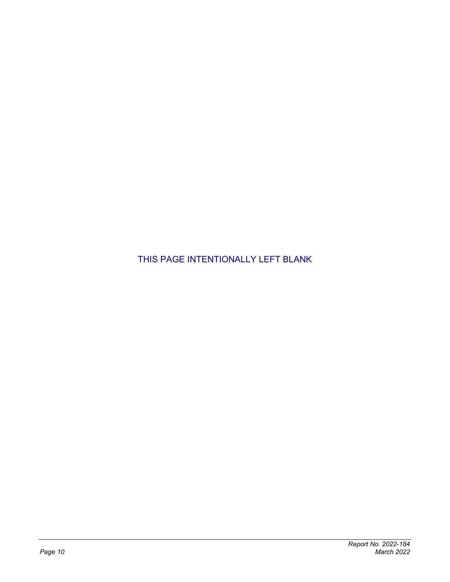THIS PAGE INTENTIONALLY LEFT BLANK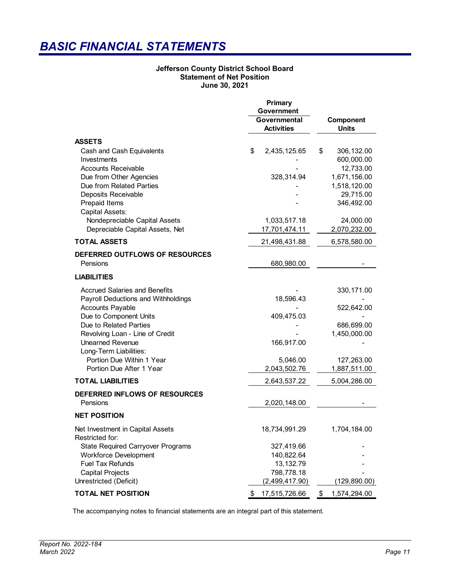# <span id="page-15-1"></span><span id="page-15-0"></span>*BASIC FINANCIAL STATEMENTS*

#### **Jefferson County District School Board Statement of Net Position June 30, 2021**

|                                                     | Primary<br>Government                    |                           |  |  |
|-----------------------------------------------------|------------------------------------------|---------------------------|--|--|
|                                                     | <b>Governmental</b><br><b>Activities</b> | Component<br><b>Units</b> |  |  |
| <b>ASSETS</b>                                       |                                          |                           |  |  |
| Cash and Cash Equivalents                           | \$<br>2,435,125.65                       | 306,132.00<br>\$          |  |  |
| Investments                                         |                                          | 600,000.00                |  |  |
| <b>Accounts Receivable</b>                          |                                          | 12,733.00                 |  |  |
| Due from Other Agencies                             | 328,314.94                               | 1,671,156.00              |  |  |
| Due from Related Parties                            |                                          | 1,518,120.00              |  |  |
| Deposits Receivable                                 |                                          | 29,715.00                 |  |  |
| Prepaid Items<br>Capital Assets:                    |                                          | 346,492.00                |  |  |
| Nondepreciable Capital Assets                       | 1,033,517.18                             | 24,000.00                 |  |  |
| Depreciable Capital Assets, Net                     | 17,701,474.11                            | 2,070,232.00              |  |  |
| <b>TOTAL ASSETS</b>                                 | 21,498,431.88                            | 6,578,580.00              |  |  |
| DEFERRED OUTFLOWS OF RESOURCES                      |                                          |                           |  |  |
| Pensions                                            | 680,980.00                               |                           |  |  |
| <b>LIABILITIES</b>                                  |                                          |                           |  |  |
| <b>Accrued Salaries and Benefits</b>                |                                          | 330, 171.00               |  |  |
| Payroll Deductions and Withholdings                 | 18,596.43                                |                           |  |  |
| <b>Accounts Payable</b>                             |                                          | 522,642.00                |  |  |
| Due to Component Units                              | 409,475.03                               |                           |  |  |
| Due to Related Parties                              |                                          | 686,699.00                |  |  |
| Revolving Loan - Line of Credit                     |                                          | 1,450,000.00              |  |  |
| <b>Unearned Revenue</b><br>Long-Term Liabilities:   | 166,917.00                               |                           |  |  |
| Portion Due Within 1 Year                           | 5,046.00                                 | 127,263.00                |  |  |
| Portion Due After 1 Year                            | 2,043,502.76                             | 1,887,511.00              |  |  |
| <b>TOTAL LIABILITIES</b>                            | 2,643,537.22                             | 5,004,286.00              |  |  |
| DEFERRED INFLOWS OF RESOURCES                       |                                          |                           |  |  |
| Pensions                                            | 2,020,148.00                             |                           |  |  |
| <b>NET POSITION</b>                                 |                                          |                           |  |  |
| Net Investment in Capital Assets<br>Restricted for: | 18,734,991.29                            | 1,704,184.00              |  |  |
| <b>State Required Carryover Programs</b>            | 327,419.66                               |                           |  |  |
| <b>Workforce Development</b>                        | 140,822.64                               |                           |  |  |
| <b>Fuel Tax Refunds</b>                             | 13,132.79                                |                           |  |  |
| <b>Capital Projects</b>                             | 798,778.18                               |                           |  |  |
| Unrestricted (Deficit)                              | (2,499,417.90)                           | (129, 890.00)             |  |  |
| <b>TOTAL NET POSITION</b>                           | 17,515,726.66<br>\$                      | \$<br>1,574,294.00        |  |  |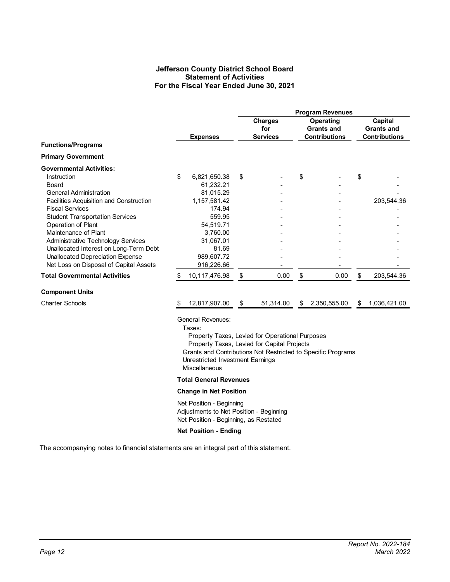#### **Jefferson County District School Board Statement of Activities For the Fiscal Year Ended June 30, 2021**

<span id="page-16-1"></span><span id="page-16-0"></span>

|                                         |    |                                                                                       | <b>Program Revenues</b> |                 |                                |                      |                              |              |
|-----------------------------------------|----|---------------------------------------------------------------------------------------|-------------------------|-----------------|--------------------------------|----------------------|------------------------------|--------------|
|                                         |    |                                                                                       | <b>Charges</b><br>for   |                 | Operating<br><b>Grants and</b> |                      | Capital<br><b>Grants and</b> |              |
|                                         |    | <b>Expenses</b>                                                                       |                         | <b>Services</b> |                                | <b>Contributions</b> | <b>Contributions</b>         |              |
| <b>Functions/Programs</b>               |    |                                                                                       |                         |                 |                                |                      |                              |              |
| <b>Primary Government</b>               |    |                                                                                       |                         |                 |                                |                      |                              |              |
| <b>Governmental Activities:</b>         |    |                                                                                       |                         |                 |                                |                      |                              |              |
| Instruction                             | \$ | 6,821,650.38                                                                          | \$                      |                 | \$                             |                      | \$                           |              |
| Board                                   |    | 61,232.21                                                                             |                         |                 |                                |                      |                              |              |
| <b>General Administration</b>           |    | 81.015.29                                                                             |                         |                 |                                |                      |                              |              |
| Facilities Acquisition and Construction |    | 1,157,581.42                                                                          |                         |                 |                                |                      |                              | 203,544.36   |
| <b>Fiscal Services</b>                  |    | 174.94                                                                                |                         |                 |                                |                      |                              |              |
| <b>Student Transportation Services</b>  |    | 559.95                                                                                |                         |                 |                                |                      |                              |              |
| Operation of Plant                      |    | 54,519.71                                                                             |                         |                 |                                |                      |                              |              |
| Maintenance of Plant                    |    | 3.760.00                                                                              |                         |                 |                                |                      |                              |              |
| Administrative Technology Services      |    | 31,067.01                                                                             |                         |                 |                                |                      |                              |              |
| Unallocated Interest on Long-Term Debt  |    | 81.69                                                                                 |                         |                 |                                |                      |                              |              |
| <b>Unallocated Depreciation Expense</b> |    | 989,607.72                                                                            |                         |                 |                                |                      |                              |              |
| Net Loss on Disposal of Capital Assets  |    | 916,226.66                                                                            |                         |                 |                                |                      |                              |              |
| <b>Total Governmental Activities</b>    | S  | 10,117,476.98                                                                         | \$                      | 0.00            | \$                             | 0.00                 | \$                           | 203,544.36   |
| <b>Component Units</b>                  |    |                                                                                       |                         |                 |                                |                      |                              |              |
| <b>Charter Schools</b>                  | \$ | 12,817,907.00                                                                         | \$                      | 51,314.00       | \$                             | 2,350,555.00         | \$                           | 1,036,421.00 |
|                                         |    | <b>General Revenues:</b><br>Taxes:<br>Property Taxes, Levied for Operational Purposes |                         |                 |                                |                      |                              |              |

Property Taxes, Levied for Capital Projects

Grants and Contributions Not Restricted to Specific Programs

Unrestricted Investment Earnings

Miscellaneous

#### **Total General Revenues**

#### **Change in Net Position**

Net Position - Beginning Adjustments to Net Position - Beginning Net Position - Beginning, as Restated

#### **Net Position - Ending**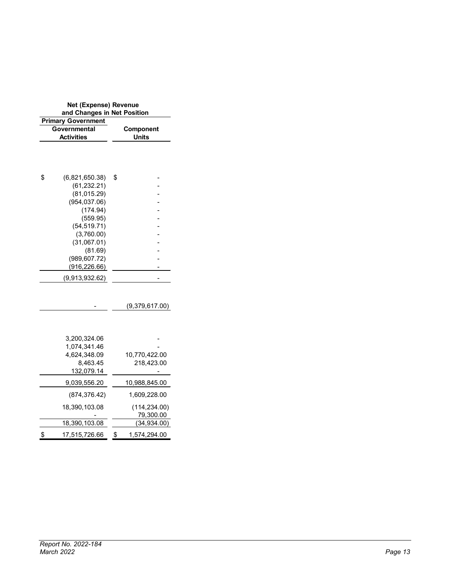|               | Net (Expense) Revenue                     |                    |
|---------------|-------------------------------------------|--------------------|
|               | and Changes in Net Position               |                    |
|               | <b>Primary Government</b><br>Governmental | Component          |
|               | <b>Activities</b>                         | Units              |
|               |                                           |                    |
| \$            | (6,821,650.38)                            | \$                 |
|               | (61, 232.21)<br>(81, 015.29)              |                    |
|               | (954, 037.06)                             |                    |
|               | (174.94)                                  |                    |
|               | (559.95)                                  |                    |
|               | (54, 519.71)                              |                    |
|               | (3,760.00)                                |                    |
|               | (31,067.01)                               |                    |
|               | (81.69)                                   |                    |
|               | (989, 607.72)                             |                    |
|               | (916, 226.66)                             |                    |
|               | (9,913,932.62)                            |                    |
|               |                                           |                    |
|               | -                                         | (9,379,617.00)     |
|               |                                           |                    |
|               |                                           |                    |
|               | 3,200,324.06                              |                    |
|               | 1,074,341.46                              |                    |
|               | 4,624,348.09                              | 10,770,422.00      |
|               | 8,463.45<br>132,079.14                    | 218,423.00         |
|               | 9,039,556.20                              | 10,988,845.00      |
|               | (874, 376.42)                             | 1,609,228.00       |
|               | 18,390,103.08                             | (114, 234.00)      |
|               |                                           | 79,300.00          |
|               | 18,390,103.08                             | (34, 934.00)       |
| $\frac{1}{2}$ | 17,515,726.66                             | \$<br>1,574,294.00 |
|               |                                           |                    |
|               |                                           |                    |
|               |                                           |                    |
|               |                                           |                    |
|               |                                           |                    |
|               |                                           |                    |
|               |                                           |                    |
|               |                                           |                    |
|               |                                           |                    |
|               |                                           |                    |
|               | Report No. 2022-184                       |                    |
|               | March 2022                                |                    |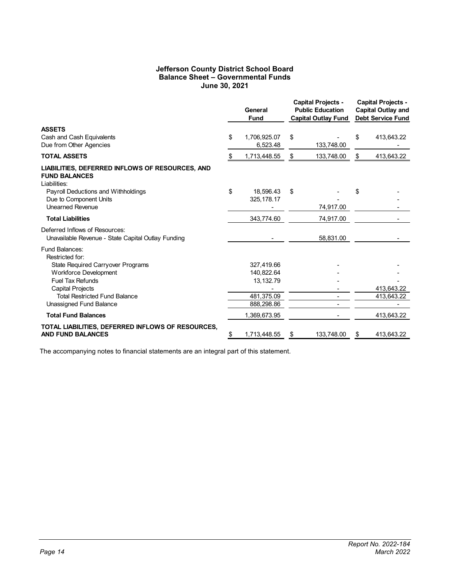#### **Jefferson County District School Board Balance Sheet – Governmental Funds June 30, 2021**

<span id="page-18-1"></span><span id="page-18-0"></span>

|                                                                                                                                                                                                                                 | General<br><b>Fund</b>                                             | <b>Capital Projects -</b><br><b>Public Education</b><br><b>Capital Outlay Fund</b> |            | <b>Capital Projects -</b><br><b>Capital Outlay and</b><br><b>Debt Service Fund</b> |                          |
|---------------------------------------------------------------------------------------------------------------------------------------------------------------------------------------------------------------------------------|--------------------------------------------------------------------|------------------------------------------------------------------------------------|------------|------------------------------------------------------------------------------------|--------------------------|
| <b>ASSETS</b><br>Cash and Cash Equivalents<br>Due from Other Agencies                                                                                                                                                           | \$<br>1,706,925.07<br>6,523.48                                     | \$                                                                                 | 133,748.00 | \$                                                                                 | 413,643.22               |
| <b>TOTAL ASSETS</b>                                                                                                                                                                                                             | \$<br>1,713,448.55                                                 | \$                                                                                 | 133,748.00 | \$                                                                                 | 413,643.22               |
| LIABILITIES, DEFERRED INFLOWS OF RESOURCES, AND<br><b>FUND BALANCES</b><br>Liabilities:<br>Payroll Deductions and Withholdings<br>Due to Component Units<br><b>Unearned Revenue</b>                                             | \$<br>18,596.43<br>325, 178.17                                     | \$                                                                                 | 74,917.00  | \$                                                                                 |                          |
| <b>Total Liabilities</b>                                                                                                                                                                                                        | 343,774.60                                                         |                                                                                    | 74,917.00  |                                                                                    |                          |
| Deferred Inflows of Resources:<br>Unavailable Revenue - State Capital Outlay Funding                                                                                                                                            |                                                                    |                                                                                    | 58.831.00  |                                                                                    |                          |
| Fund Balances:<br>Restricted for:<br>State Required Carryover Programs<br><b>Workforce Development</b><br><b>Fuel Tax Refunds</b><br><b>Capital Projects</b><br><b>Total Restricted Fund Balance</b><br>Unassigned Fund Balance | 327,419.66<br>140,822.64<br>13, 132.79<br>481,375.09<br>888,298.86 |                                                                                    |            |                                                                                    | 413,643.22<br>413,643.22 |
| <b>Total Fund Balances</b>                                                                                                                                                                                                      | 1,369,673.95                                                       |                                                                                    |            |                                                                                    | 413,643.22               |
| TOTAL LIABILITIES, DEFERRED INFLOWS OF RESOURCES,<br><b>AND FUND BALANCES</b>                                                                                                                                                   | \$<br>1,713,448.55                                                 | S                                                                                  | 133,748.00 | \$                                                                                 | 413,643.22               |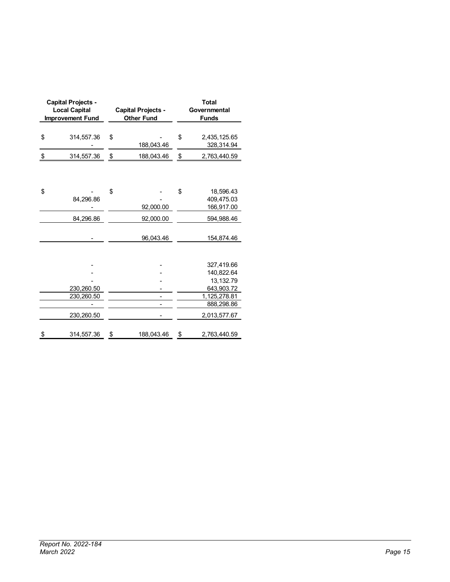|                  | <b>Capital Projects -</b> |                           |              | <b>Total</b> |  |  |  |
|------------------|---------------------------|---------------------------|--------------|--------------|--|--|--|
|                  | <b>Local Capital</b>      | <b>Capital Projects -</b> | Governmental |              |  |  |  |
|                  | <b>Improvement Fund</b>   | <b>Other Fund</b>         |              | <b>Funds</b> |  |  |  |
|                  |                           |                           |              |              |  |  |  |
| \$               | 314,557.36                | \$                        | \$           | 2,435,125.65 |  |  |  |
|                  |                           | 188,043.46                |              | 328,314.94   |  |  |  |
| $$\mathfrak{S}$$ | 314,557.36                | \$<br>188,043.46          | \$           | 2,763,440.59 |  |  |  |
|                  |                           |                           |              |              |  |  |  |
| \$               |                           | \$                        | \$           | 18,596.43    |  |  |  |
|                  | 84,296.86                 |                           |              | 409,475.03   |  |  |  |
|                  |                           | 92,000.00                 |              | 166,917.00   |  |  |  |
|                  | 84,296.86                 | 92,000.00                 |              | 594,988.46   |  |  |  |
|                  |                           | 96,043.46                 |              | 154,874.46   |  |  |  |
|                  |                           |                           |              | 327,419.66   |  |  |  |
|                  |                           |                           |              | 140,822.64   |  |  |  |
|                  |                           |                           |              | 13, 132. 79  |  |  |  |
|                  | 230,260.50                |                           |              | 643,903.72   |  |  |  |
|                  | 230,260.50                | -                         |              | 1,125,278.81 |  |  |  |
|                  |                           |                           |              | 888,298.86   |  |  |  |
|                  | 230,260.50                |                           |              | 2,013,577.67 |  |  |  |
| \$               | 314,557.36                | \$<br>188,043.46          | \$           | 2,763,440.59 |  |  |  |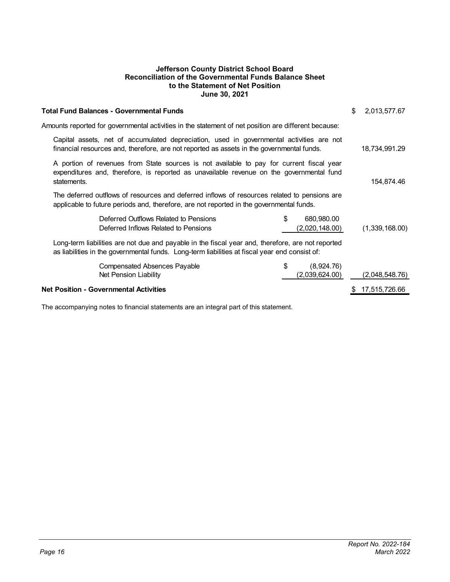#### **Jefferson County District School Board Reconciliation of the Governmental Funds Balance Sheet to the Statement of Net Position June 30, 2021**

<span id="page-20-1"></span><span id="page-20-0"></span>

| Total Fund Balances - Governmental Funds                                                                                                                                                            |               | \$<br>2,013,577.67           |                |
|-----------------------------------------------------------------------------------------------------------------------------------------------------------------------------------------------------|---------------|------------------------------|----------------|
| Amounts reported for governmental activities in the statement of net position are different because:                                                                                                |               |                              |                |
| Capital assets, net of accumulated depreciation, used in governmental activities are not<br>financial resources and, therefore, are not reported as assets in the governmental funds.               | 18,734,991.29 |                              |                |
| A portion of revenues from State sources is not available to pay for current fiscal year<br>expenditures and, therefore, is reported as unavailable revenue on the governmental fund<br>statements. | 154,874.46    |                              |                |
| The deferred outflows of resources and deferred inflows of resources related to pensions are<br>applicable to future periods and, therefore, are not reported in the governmental funds.            |               |                              |                |
| Deferred Outflows Related to Pensions<br>Deferred Inflows Related to Pensions                                                                                                                       | \$            | 680,980.00<br>(2,020,148.00) | (1,339,168.00) |
| Long-term liabilities are not due and payable in the fiscal year and, therefore, are not reported<br>as liabilities in the governmental funds. Long-term liabilities at fiscal year end consist of: |               |                              |                |
| <b>Compensated Absences Payable</b><br>Net Pension Liability                                                                                                                                        | \$            | (8,924.76)<br>(2,039,624.00) | (2,048,548.76) |
| <b>Net Position - Governmental Activities</b>                                                                                                                                                       |               |                              | 17,515,726.66  |
|                                                                                                                                                                                                     |               |                              |                |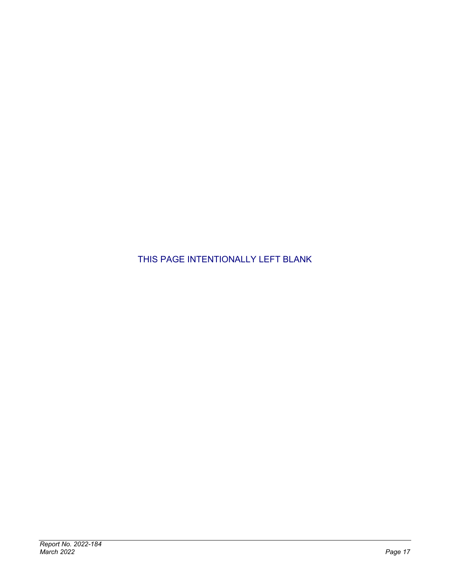THIS PAGE INTENTIONALLY LEFT BLANK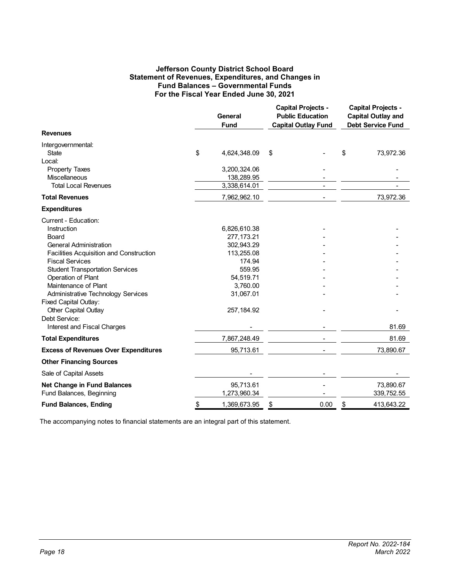#### **Jefferson County District School Board Statement of Revenues, Expenditures, and Changes in Fund Balances – Governmental Funds For the Fiscal Year Ended June 30, 2021**

<span id="page-22-1"></span><span id="page-22-0"></span>

|                                                                                                                                                                                                                                                                                                                                                                                          | <b>General</b><br><b>Fund</b>                                                                                                     |    | <b>Capital Projects -</b><br><b>Public Education</b><br><b>Capital Outlay Fund</b> |    | <b>Capital Projects -</b><br><b>Capital Outlay and</b><br><b>Debt Service Fund</b> |  |
|------------------------------------------------------------------------------------------------------------------------------------------------------------------------------------------------------------------------------------------------------------------------------------------------------------------------------------------------------------------------------------------|-----------------------------------------------------------------------------------------------------------------------------------|----|------------------------------------------------------------------------------------|----|------------------------------------------------------------------------------------|--|
| <b>Revenues</b>                                                                                                                                                                                                                                                                                                                                                                          |                                                                                                                                   |    |                                                                                    |    |                                                                                    |  |
| Intergovernmental:<br><b>State</b><br>Local:                                                                                                                                                                                                                                                                                                                                             | \$<br>4,624,348.09                                                                                                                | \$ |                                                                                    | \$ | 73,972.36                                                                          |  |
| <b>Property Taxes</b><br><b>Miscellaneous</b>                                                                                                                                                                                                                                                                                                                                            | 3,200,324.06<br>138,289.95                                                                                                        |    |                                                                                    |    |                                                                                    |  |
| <b>Total Local Revenues</b>                                                                                                                                                                                                                                                                                                                                                              | 3,338,614.01                                                                                                                      |    | $\blacksquare$                                                                     |    |                                                                                    |  |
| <b>Total Revenues</b>                                                                                                                                                                                                                                                                                                                                                                    | 7,962,962.10                                                                                                                      |    |                                                                                    |    | 73,972.36                                                                          |  |
| <b>Expenditures</b>                                                                                                                                                                                                                                                                                                                                                                      |                                                                                                                                   |    |                                                                                    |    |                                                                                    |  |
| Current - Education:<br>Instruction<br>Board<br><b>General Administration</b><br><b>Facilities Acquisition and Construction</b><br><b>Fiscal Services</b><br><b>Student Transportation Services</b><br>Operation of Plant<br>Maintenance of Plant<br>Administrative Technology Services<br>Fixed Capital Outlay:<br>Other Capital Outlay<br>Debt Service:<br>Interest and Fiscal Charges | 6,826,610.38<br>277, 173. 21<br>302,943.29<br>113,255.08<br>174.94<br>559.95<br>54,519.71<br>3,760.00<br>31,067.01<br>257, 184.92 |    |                                                                                    |    | 81.69                                                                              |  |
| <b>Total Expenditures</b>                                                                                                                                                                                                                                                                                                                                                                | 7,867,248.49                                                                                                                      |    |                                                                                    |    | 81.69                                                                              |  |
| <b>Excess of Revenues Over Expenditures</b>                                                                                                                                                                                                                                                                                                                                              | 95,713.61                                                                                                                         |    |                                                                                    |    | 73,890.67                                                                          |  |
| <b>Other Financing Sources</b>                                                                                                                                                                                                                                                                                                                                                           |                                                                                                                                   |    |                                                                                    |    |                                                                                    |  |
| Sale of Capital Assets                                                                                                                                                                                                                                                                                                                                                                   |                                                                                                                                   |    |                                                                                    |    |                                                                                    |  |
| <b>Net Change in Fund Balances</b><br>Fund Balances, Beginning                                                                                                                                                                                                                                                                                                                           | 95,713.61<br>1,273,960.34                                                                                                         |    |                                                                                    |    | 73,890.67<br>339,752.55                                                            |  |
| <b>Fund Balances, Ending</b>                                                                                                                                                                                                                                                                                                                                                             | \$<br>1,369,673.95                                                                                                                | \$ | 0.00                                                                               | \$ | 413,643.22                                                                         |  |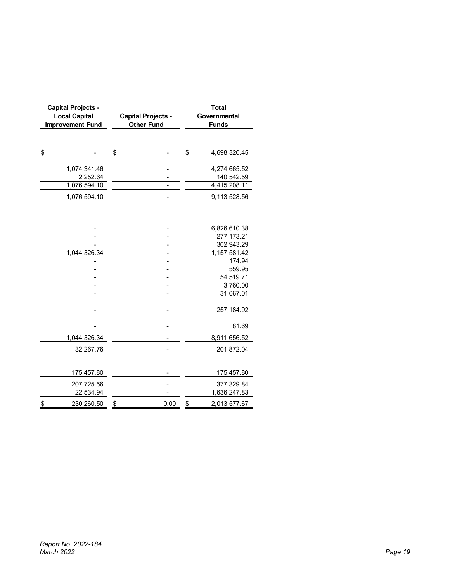| <b>Capital Projects -</b><br><b>Local Capital</b><br><b>Improvement Fund</b> |               | <b>Capital Projects -</b><br><b>Other Fund</b> | <b>Total</b><br>Governmental<br><b>Funds</b> |                     |  |  |
|------------------------------------------------------------------------------|---------------|------------------------------------------------|----------------------------------------------|---------------------|--|--|
| \$                                                                           | \$            |                                                | \$                                           | 4,698,320.45        |  |  |
|                                                                              |               |                                                |                                              |                     |  |  |
| 1,074,341.46                                                                 |               |                                                |                                              | 4,274,665.52        |  |  |
| 2,252.64                                                                     |               |                                                |                                              | 140,542.59          |  |  |
| 1,076,594.10                                                                 |               | $\overline{a}$                                 |                                              | 4,415,208.11        |  |  |
| 1,076,594.10                                                                 |               |                                                |                                              | 9,113,528.56        |  |  |
|                                                                              |               |                                                |                                              |                     |  |  |
|                                                                              |               |                                                |                                              | 6,826,610.38        |  |  |
|                                                                              |               |                                                |                                              | 277, 173.21         |  |  |
|                                                                              |               |                                                |                                              | 302,943.29          |  |  |
| 1,044,326.34                                                                 |               |                                                |                                              | 1, 157, 581.42      |  |  |
|                                                                              |               |                                                |                                              | 174.94              |  |  |
|                                                                              |               |                                                |                                              | 559.95<br>54,519.71 |  |  |
|                                                                              |               |                                                |                                              | 3,760.00            |  |  |
|                                                                              |               |                                                |                                              | 31,067.01           |  |  |
|                                                                              |               |                                                |                                              |                     |  |  |
|                                                                              |               |                                                |                                              | 257, 184.92         |  |  |
|                                                                              |               |                                                |                                              | 81.69               |  |  |
| 1,044,326.34                                                                 |               |                                                |                                              | 8,911,656.52        |  |  |
| 32,267.76                                                                    |               |                                                |                                              | 201,872.04          |  |  |
|                                                                              |               |                                                |                                              |                     |  |  |
| 175,457.80                                                                   |               |                                                |                                              | 175,457.80          |  |  |
| 207,725.56                                                                   |               |                                                |                                              | 377,329.84          |  |  |
| 22,534.94                                                                    |               |                                                |                                              | 1,636,247.83        |  |  |
| \$<br>230,260.50                                                             | $\frac{1}{2}$ | 0.00                                           | \$                                           | 2,013,577.67        |  |  |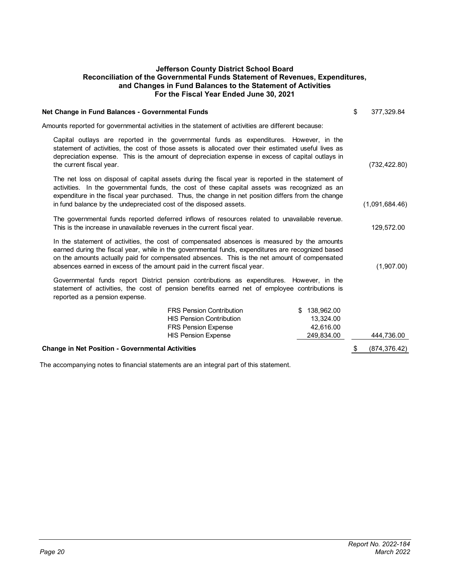#### <span id="page-24-1"></span>**Jefferson County District School Board Reconciliation of the Governmental Funds Statement of Revenues, Expenditures, and Changes in Fund Balances to the Statement of Activities For the Fiscal Year Ended June 30, 2021**

<span id="page-24-0"></span>

| Net Change in Fund Balances - Governmental Funds                                                                                                                                                                                                                                                                                                                             |                                                                                                                                |                                                      | \$<br>377,329.84 |
|------------------------------------------------------------------------------------------------------------------------------------------------------------------------------------------------------------------------------------------------------------------------------------------------------------------------------------------------------------------------------|--------------------------------------------------------------------------------------------------------------------------------|------------------------------------------------------|------------------|
| Amounts reported for governmental activities in the statement of activities are different because:                                                                                                                                                                                                                                                                           |                                                                                                                                |                                                      |                  |
| Capital outlays are reported in the governmental funds as expenditures. However, in the<br>statement of activities, the cost of those assets is allocated over their estimated useful lives as<br>depreciation expense. This is the amount of depreciation expense in excess of capital outlays in<br>the current fiscal year.                                               |                                                                                                                                |                                                      | (732, 422.80)    |
| The net loss on disposal of capital assets during the fiscal year is reported in the statement of<br>activities. In the governmental funds, the cost of these capital assets was recognized as an<br>expenditure in the fiscal year purchased. Thus, the change in net position differs from the change<br>in fund balance by the undepreciated cost of the disposed assets. |                                                                                                                                |                                                      | (1,091,684.46)   |
| The governmental funds reported deferred inflows of resources related to unavailable revenue.<br>This is the increase in unavailable revenues in the current fiscal year.                                                                                                                                                                                                    |                                                                                                                                |                                                      | 129,572.00       |
| In the statement of activities, the cost of compensated absences is measured by the amounts<br>earned during the fiscal year, while in the governmental funds, expenditures are recognized based<br>on the amounts actually paid for compensated absences. This is the net amount of compensated<br>absences earned in excess of the amount paid in the current fiscal year. |                                                                                                                                |                                                      | (1,907.00)       |
| Governmental funds report District pension contributions as expenditures. However, in the<br>statement of activities, the cost of pension benefits earned net of employee contributions is<br>reported as a pension expense.                                                                                                                                                 |                                                                                                                                |                                                      |                  |
|                                                                                                                                                                                                                                                                                                                                                                              | <b>FRS Pension Contribution</b><br><b>HIS Pension Contribution</b><br><b>FRS Pension Expense</b><br><b>HIS Pension Expense</b> | \$138,962.00<br>13.324.00<br>42,616.00<br>249,834.00 | 444,736.00       |
| <b>Change in Net Position - Governmental Activities</b>                                                                                                                                                                                                                                                                                                                      |                                                                                                                                |                                                      | (874, 376.42)    |
|                                                                                                                                                                                                                                                                                                                                                                              |                                                                                                                                |                                                      |                  |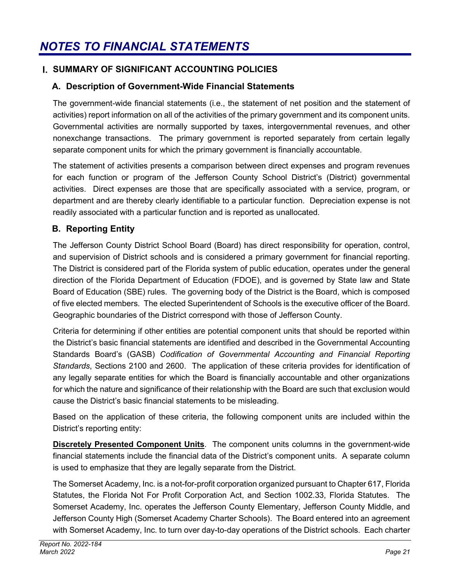## <span id="page-25-1"></span><span id="page-25-0"></span>**SUMMARY OF SIGNIFICANT ACCOUNTING POLICIES**

## **A. Description of Government-Wide Financial Statements**

The government-wide financial statements (i.e., the statement of net position and the statement of activities) report information on all of the activities of the primary government and its component units. Governmental activities are normally supported by taxes, intergovernmental revenues, and other nonexchange transactions. The primary government is reported separately from certain legally separate component units for which the primary government is financially accountable.

The statement of activities presents a comparison between direct expenses and program revenues for each function or program of the Jefferson County School District's (District) governmental activities. Direct expenses are those that are specifically associated with a service, program, or department and are thereby clearly identifiable to a particular function. Depreciation expense is not readily associated with a particular function and is reported as unallocated.

# **B. Reporting Entity**

The Jefferson County District School Board (Board) has direct responsibility for operation, control, and supervision of District schools and is considered a primary government for financial reporting. The District is considered part of the Florida system of public education, operates under the general direction of the Florida Department of Education (FDOE), and is governed by State law and State Board of Education (SBE) rules. The governing body of the District is the Board, which is composed of five elected members. The elected Superintendent of Schools is the executive officer of the Board. Geographic boundaries of the District correspond with those of Jefferson County.

Criteria for determining if other entities are potential component units that should be reported within the District's basic financial statements are identified and described in the Governmental Accounting Standards Board's (GASB) *Codification of Governmental Accounting and Financial Reporting Standards*, Sections 2100 and 2600. The application of these criteria provides for identification of any legally separate entities for which the Board is financially accountable and other organizations for which the nature and significance of their relationship with the Board are such that exclusion would cause the District's basic financial statements to be misleading.

Based on the application of these criteria, the following component units are included within the District's reporting entity:

**Discretely Presented Component Units**. The component units columns in the government-wide financial statements include the financial data of the District's component units. A separate column is used to emphasize that they are legally separate from the District.

The Somerset Academy, Inc. is a not-for-profit corporation organized pursuant to Chapter 617, Florida Statutes, the Florida Not For Profit Corporation Act, and Section 1002.33, Florida Statutes. The Somerset Academy, Inc. operates the Jefferson County Elementary, Jefferson County Middle, and Jefferson County High (Somerset Academy Charter Schools). The Board entered into an agreement with Somerset Academy, Inc. to turn over day-to-day operations of the District schools. Each charter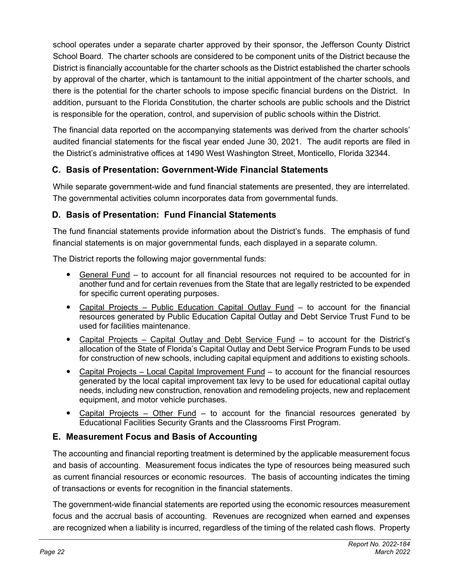school operates under a separate charter approved by their sponsor, the Jefferson County District School Board. The charter schools are considered to be component units of the District because the District is financially accountable for the charter schools as the District established the charter schools by approval of the charter, which is tantamount to the initial appointment of the charter schools, and there is the potential for the charter schools to impose specific financial burdens on the District. In addition, pursuant to the Florida Constitution, the charter schools are public schools and the District is responsible for the operation, control, and supervision of public schools within the District.

The financial data reported on the accompanying statements was derived from the charter schools' audited financial statements for the fiscal year ended June 30, 2021. The audit reports are filed in the District's administrative offices at 1490 West Washington Street, Monticello, Florida 32344.

# **C. Basis of Presentation: Government-Wide Financial Statements**

While separate government-wide and fund financial statements are presented, they are interrelated. The governmental activities column incorporates data from governmental funds.

# **D. Basis of Presentation: Fund Financial Statements**

The fund financial statements provide information about the District's funds. The emphasis of fund financial statements is on major governmental funds, each displayed in a separate column.

The District reports the following major governmental funds:

- General Fund to account for all financial resources not required to be accounted for in another fund and for certain revenues from the State that are legally restricted to be expended for specific current operating purposes.
- Capital Projects Public Education Capital Outlay Fund to account for the financial resources generated by Public Education Capital Outlay and Debt Service Trust Fund to be used for facilities maintenance.
- Capital Projects Capital Outlay and Debt Service Fund to account for the District's allocation of the State of Florida's Capital Outlay and Debt Service Program Funds to be used for construction of new schools, including capital equipment and additions to existing schools.
- Capital Projects Local Capital Improvement Fund to account for the financial resources generated by the local capital improvement tax levy to be used for educational capital outlay needs, including new construction, renovation and remodeling projects, new and replacement equipment, and motor vehicle purchases.
- Capital Projects Other Fund to account for the financial resources generated by Educational Facilities Security Grants and the Classrooms First Program.

# **E. Measurement Focus and Basis of Accounting**

The accounting and financial reporting treatment is determined by the applicable measurement focus and basis of accounting. Measurement focus indicates the type of resources being measured such as current financial resources or economic resources. The basis of accounting indicates the timing of transactions or events for recognition in the financial statements.

The government-wide financial statements are reported using the economic resources measurement focus and the accrual basis of accounting. Revenues are recognized when earned and expenses are recognized when a liability is incurred, regardless of the timing of the related cash flows. Property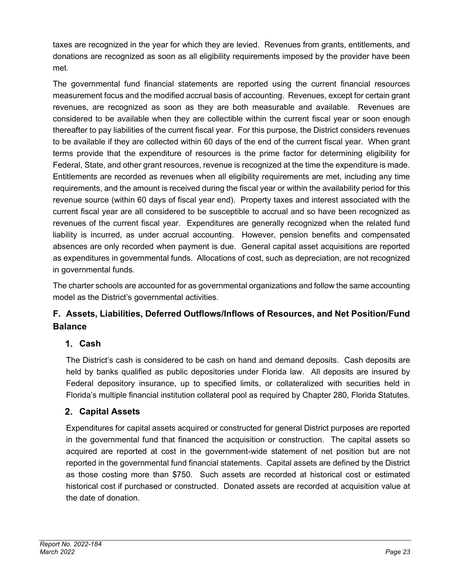taxes are recognized in the year for which they are levied. Revenues from grants, entitlements, and donations are recognized as soon as all eligibility requirements imposed by the provider have been met.

The governmental fund financial statements are reported using the current financial resources measurement focus and the modified accrual basis of accounting. Revenues, except for certain grant revenues, are recognized as soon as they are both measurable and available. Revenues are considered to be available when they are collectible within the current fiscal year or soon enough thereafter to pay liabilities of the current fiscal year. For this purpose, the District considers revenues to be available if they are collected within 60 days of the end of the current fiscal year. When grant terms provide that the expenditure of resources is the prime factor for determining eligibility for Federal, State, and other grant resources, revenue is recognized at the time the expenditure is made. Entitlements are recorded as revenues when all eligibility requirements are met, including any time requirements, and the amount is received during the fiscal year or within the availability period for this revenue source (within 60 days of fiscal year end). Property taxes and interest associated with the current fiscal year are all considered to be susceptible to accrual and so have been recognized as revenues of the current fiscal year. Expenditures are generally recognized when the related fund liability is incurred, as under accrual accounting. However, pension benefits and compensated absences are only recorded when payment is due. General capital asset acquisitions are reported as expenditures in governmental funds. Allocations of cost, such as depreciation, are not recognized in governmental funds.

The charter schools are accounted for as governmental organizations and follow the same accounting model as the District's governmental activities.

# **F. Assets, Liabilities, Deferred Outflows/Inflows of Resources, and Net Position/Fund Balance**

# **Cash**

The District's cash is considered to be cash on hand and demand deposits. Cash deposits are held by banks qualified as public depositories under Florida law. All deposits are insured by Federal depository insurance, up to specified limits, or collateralized with securities held in Florida's multiple financial institution collateral pool as required by Chapter 280, Florida Statutes.

# **Capital Assets**

Expenditures for capital assets acquired or constructed for general District purposes are reported in the governmental fund that financed the acquisition or construction. The capital assets so acquired are reported at cost in the government-wide statement of net position but are not reported in the governmental fund financial statements. Capital assets are defined by the District as those costing more than \$750. Such assets are recorded at historical cost or estimated historical cost if purchased or constructed. Donated assets are recorded at acquisition value at the date of donation.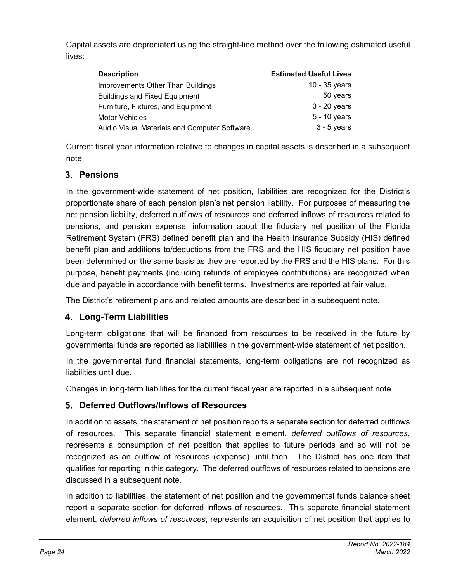Capital assets are depreciated using the straight-line method over the following estimated useful lives:

| <b>Description</b>                           | <b>Estimated Useful Lives</b> |
|----------------------------------------------|-------------------------------|
| Improvements Other Than Buildings            | 10 - 35 years                 |
| <b>Buildings and Fixed Equipment</b>         | 50 years                      |
| Furniture, Fixtures, and Equipment           | $3 - 20$ years                |
| <b>Motor Vehicles</b>                        | $5 - 10$ years                |
| Audio Visual Materials and Computer Software | $3 - 5$ years                 |

Current fiscal year information relative to changes in capital assets is described in a subsequent note.

# **Pensions**

In the government-wide statement of net position, liabilities are recognized for the District's proportionate share of each pension plan's net pension liability. For purposes of measuring the net pension liability, deferred outflows of resources and deferred inflows of resources related to pensions, and pension expense, information about the fiduciary net position of the Florida Retirement System (FRS) defined benefit plan and the Health Insurance Subsidy (HIS) defined benefit plan and additions to/deductions from the FRS and the HIS fiduciary net position have been determined on the same basis as they are reported by the FRS and the HIS plans. For this purpose, benefit payments (including refunds of employee contributions) are recognized when due and payable in accordance with benefit terms. Investments are reported at fair value.

The District's retirement plans and related amounts are described in a subsequent note.

### **Long-Term Liabilities**

Long-term obligations that will be financed from resources to be received in the future by governmental funds are reported as liabilities in the government-wide statement of net position.

In the governmental fund financial statements, long-term obligations are not recognized as liabilities until due.

Changes in long-term liabilities for the current fiscal year are reported in a subsequent note.

### **Deferred Outflows/Inflows of Resources**

In addition to assets, the statement of net position reports a separate section for deferred outflows of resources. This separate financial statement element, *deferred outflows of resources*, represents a consumption of net position that applies to future periods and so will not be recognized as an outflow of resources (expense) until then. The District has one item that qualifies for reporting in this category. The deferred outflows of resources related to pensions are discussed in a subsequent note.

In addition to liabilities, the statement of net position and the governmental funds balance sheet report a separate section for deferred inflows of resources. This separate financial statement element, *deferred inflows of resources*, represents an acquisition of net position that applies to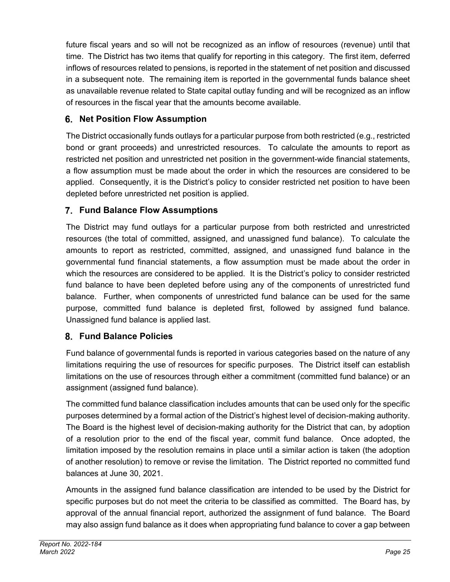future fiscal years and so will not be recognized as an inflow of resources (revenue) until that time. The District has two items that qualify for reporting in this category. The first item, deferred inflows of resources related to pensions, is reported in the statement of net position and discussed in a subsequent note. The remaining item is reported in the governmental funds balance sheet as unavailable revenue related to State capital outlay funding and will be recognized as an inflow of resources in the fiscal year that the amounts become available.

# **Net Position Flow Assumption**

The District occasionally funds outlays for a particular purpose from both restricted (e.g., restricted bond or grant proceeds) and unrestricted resources. To calculate the amounts to report as restricted net position and unrestricted net position in the government-wide financial statements, a flow assumption must be made about the order in which the resources are considered to be applied. Consequently, it is the District's policy to consider restricted net position to have been depleted before unrestricted net position is applied.

# **Fund Balance Flow Assumptions**

The District may fund outlays for a particular purpose from both restricted and unrestricted resources (the total of committed, assigned, and unassigned fund balance). To calculate the amounts to report as restricted, committed, assigned, and unassigned fund balance in the governmental fund financial statements, a flow assumption must be made about the order in which the resources are considered to be applied. It is the District's policy to consider restricted fund balance to have been depleted before using any of the components of unrestricted fund balance. Further, when components of unrestricted fund balance can be used for the same purpose, committed fund balance is depleted first, followed by assigned fund balance. Unassigned fund balance is applied last.

# **Fund Balance Policies**

Fund balance of governmental funds is reported in various categories based on the nature of any limitations requiring the use of resources for specific purposes. The District itself can establish limitations on the use of resources through either a commitment (committed fund balance) or an assignment (assigned fund balance).

The committed fund balance classification includes amounts that can be used only for the specific purposes determined by a formal action of the District's highest level of decision-making authority. The Board is the highest level of decision-making authority for the District that can, by adoption of a resolution prior to the end of the fiscal year, commit fund balance. Once adopted, the limitation imposed by the resolution remains in place until a similar action is taken (the adoption of another resolution) to remove or revise the limitation. The District reported no committed fund balances at June 30, 2021.

Amounts in the assigned fund balance classification are intended to be used by the District for specific purposes but do not meet the criteria to be classified as committed. The Board has, by approval of the annual financial report, authorized the assignment of fund balance. The Board may also assign fund balance as it does when appropriating fund balance to cover a gap between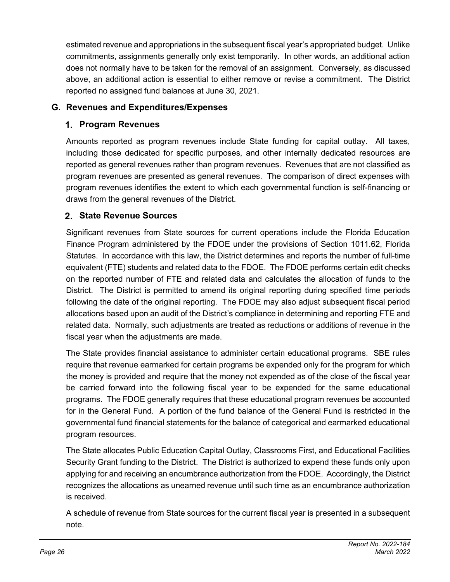estimated revenue and appropriations in the subsequent fiscal year's appropriated budget. Unlike commitments, assignments generally only exist temporarily. In other words, an additional action does not normally have to be taken for the removal of an assignment. Conversely, as discussed above, an additional action is essential to either remove or revise a commitment. The District reported no assigned fund balances at June 30, 2021.

# **G. Revenues and Expenditures/Expenses**

# **Program Revenues**

Amounts reported as program revenues include State funding for capital outlay. All taxes, including those dedicated for specific purposes, and other internally dedicated resources are reported as general revenues rather than program revenues. Revenues that are not classified as program revenues are presented as general revenues. The comparison of direct expenses with program revenues identifies the extent to which each governmental function is self-financing or draws from the general revenues of the District.

# **State Revenue Sources**

Significant revenues from State sources for current operations include the Florida Education Finance Program administered by the FDOE under the provisions of Section 1011.62, Florida Statutes. In accordance with this law, the District determines and reports the number of full-time equivalent (FTE) students and related data to the FDOE. The FDOE performs certain edit checks on the reported number of FTE and related data and calculates the allocation of funds to the District. The District is permitted to amend its original reporting during specified time periods following the date of the original reporting. The FDOE may also adjust subsequent fiscal period allocations based upon an audit of the District's compliance in determining and reporting FTE and related data. Normally, such adjustments are treated as reductions or additions of revenue in the fiscal year when the adjustments are made.

The State provides financial assistance to administer certain educational programs. SBE rules require that revenue earmarked for certain programs be expended only for the program for which the money is provided and require that the money not expended as of the close of the fiscal year be carried forward into the following fiscal year to be expended for the same educational programs. The FDOE generally requires that these educational program revenues be accounted for in the General Fund. A portion of the fund balance of the General Fund is restricted in the governmental fund financial statements for the balance of categorical and earmarked educational program resources.

The State allocates Public Education Capital Outlay, Classrooms First, and Educational Facilities Security Grant funding to the District. The District is authorized to expend these funds only upon applying for and receiving an encumbrance authorization from the FDOE. Accordingly, the District recognizes the allocations as unearned revenue until such time as an encumbrance authorization is received.

A schedule of revenue from State sources for the current fiscal year is presented in a subsequent note.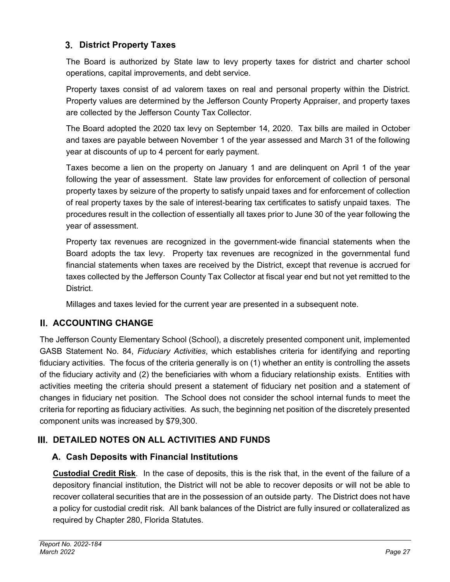# **District Property Taxes**

The Board is authorized by State law to levy property taxes for district and charter school operations, capital improvements, and debt service.

Property taxes consist of ad valorem taxes on real and personal property within the District. Property values are determined by the Jefferson County Property Appraiser, and property taxes are collected by the Jefferson County Tax Collector.

The Board adopted the 2020 tax levy on September 14, 2020. Tax bills are mailed in October and taxes are payable between November 1 of the year assessed and March 31 of the following year at discounts of up to 4 percent for early payment.

Taxes become a lien on the property on January 1 and are delinquent on April 1 of the year following the year of assessment. State law provides for enforcement of collection of personal property taxes by seizure of the property to satisfy unpaid taxes and for enforcement of collection of real property taxes by the sale of interest-bearing tax certificates to satisfy unpaid taxes. The procedures result in the collection of essentially all taxes prior to June 30 of the year following the year of assessment.

Property tax revenues are recognized in the government-wide financial statements when the Board adopts the tax levy. Property tax revenues are recognized in the governmental fund financial statements when taxes are received by the District, except that revenue is accrued for taxes collected by the Jefferson County Tax Collector at fiscal year end but not yet remitted to the District.

Millages and taxes levied for the current year are presented in a subsequent note.

# **ACCOUNTING CHANGE**

The Jefferson County Elementary School (School), a discretely presented component unit, implemented GASB Statement No. 84, *Fiduciary Activities*, which establishes criteria for identifying and reporting fiduciary activities. The focus of the criteria generally is on (1) whether an entity is controlling the assets of the fiduciary activity and (2) the beneficiaries with whom a fiduciary relationship exists. Entities with activities meeting the criteria should present a statement of fiduciary net position and a statement of changes in fiduciary net position. The School does not consider the school internal funds to meet the criteria for reporting as fiduciary activities. As such, the beginning net position of the discretely presented component units was increased by \$79,300.

# **DETAILED NOTES ON ALL ACTIVITIES AND FUNDS**

### **A. Cash Deposits with Financial Institutions**

**Custodial Credit Risk**. In the case of deposits, this is the risk that, in the event of the failure of a depository financial institution, the District will not be able to recover deposits or will not be able to recover collateral securities that are in the possession of an outside party. The District does not have a policy for custodial credit risk. All bank balances of the District are fully insured or collateralized as required by Chapter 280, Florida Statutes.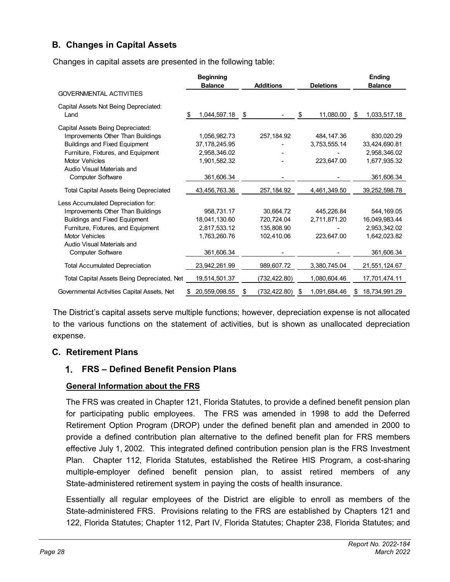# **B. Changes in Capital Assets**

Changes in capital assets are presented in the following table:

|                                                                                                                 | <b>Beginning</b><br><b>Balance</b>          | <b>Additions</b>                      | <b>Deletions</b>            | <b>Ending</b><br><b>Balance</b>             |
|-----------------------------------------------------------------------------------------------------------------|---------------------------------------------|---------------------------------------|-----------------------------|---------------------------------------------|
| <b>GOVERNMENTAL ACTIVITIES</b>                                                                                  |                                             |                                       |                             |                                             |
| Capital Assets Not Being Depreciated:<br>Land                                                                   | \$<br>1,044,597.18                          | \$                                    | \$<br>11,080.00             | \$<br>1,033,517.18                          |
| Capital Assets Being Depreciated:<br>Improvements Other Than Buildings<br><b>Buildings and Fixed Equipment</b>  | 1,056,982.73<br>37, 178, 245. 95            | 257,184.92                            | 484, 147.36<br>3,753,555.14 | 830,020.29<br>33,424,690.81                 |
| Furniture, Fixtures, and Equipment<br><b>Motor Vehicles</b><br>Audio Visual Materials and                       | 2,958,346.02<br>1,901,582.32                |                                       | 223.647.00                  | 2,958,346.02<br>1.677.935.32                |
| <b>Computer Software</b>                                                                                        | 361,606.34                                  |                                       |                             | 361,606.34                                  |
| <b>Total Capital Assets Being Depreciated</b><br>Less Accumulated Depreciation for:                             | 43,456,763.36                               | 257,184.92                            | 4,461,349.50                | 39,252,598.78                               |
| Improvements Other Than Buildings<br><b>Buildings and Fixed Equipment</b><br>Furniture, Fixtures, and Equipment | 958.731.17<br>18,041,130.60<br>2,817,533.12 | 30.664.72<br>720,724.04<br>135.808.90 | 445,226.84<br>2,711,871.20  | 544,169.05<br>16,049,983.44<br>2,953,342.02 |
| <b>Motor Vehicles</b><br>Audio Visual Materials and<br><b>Computer Software</b>                                 | 1.763.260.76<br>361,606.34                  | 102.410.06                            | 223.647.00                  | 1.642.023.82<br>361,606.34                  |
| <b>Total Accumulated Depreciation</b>                                                                           | 23,942,261.99                               | 989,607.72                            | 3,380,745.04                | 21,551,124.67                               |
| Total Capital Assets Being Depreciated, Net                                                                     | 19,514,501.37                               | (732,422.80)                          | 1,080,604.46                | 17,701,474.11                               |
| Governmental Activities Capital Assets, Net                                                                     | 20,559,098.55<br>S.                         | (732, 422.80)<br>\$                   | 1,091,684.46<br>\$          | 18,734,991.29<br>S                          |

The District's capital assets serve multiple functions; however, depreciation expense is not allocated to the various functions on the statement of activities, but is shown as unallocated depreciation expense.

#### **C. Retirement Plans**

#### **FRS – Defined Benefit Pension Plans**

#### **General Information about the FRS**

The FRS was created in Chapter 121, Florida Statutes, to provide a defined benefit pension plan for participating public employees. The FRS was amended in 1998 to add the Deferred Retirement Option Program (DROP) under the defined benefit plan and amended in 2000 to provide a defined contribution plan alternative to the defined benefit plan for FRS members effective July 1, 2002. This integrated defined contribution pension plan is the FRS Investment Plan. Chapter 112, Florida Statutes, established the Retiree HIS Program, a cost-sharing multiple-employer defined benefit pension plan, to assist retired members of any State-administered retirement system in paying the costs of health insurance.

Essentially all regular employees of the District are eligible to enroll as members of the State-administered FRS. Provisions relating to the FRS are established by Chapters 121 and 122, Florida Statutes; Chapter 112, Part IV, Florida Statutes; Chapter 238, Florida Statutes; and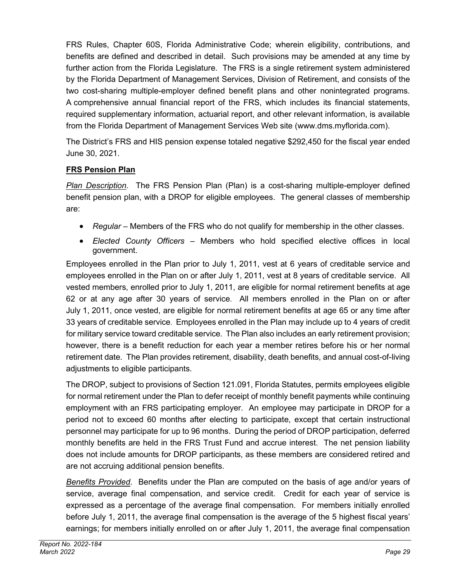FRS Rules, Chapter 60S, Florida Administrative Code; wherein eligibility, contributions, and benefits are defined and described in detail. Such provisions may be amended at any time by further action from the Florida Legislature. The FRS is a single retirement system administered by the Florida Department of Management Services, Division of Retirement, and consists of the two cost-sharing multiple-employer defined benefit plans and other nonintegrated programs. A comprehensive annual financial report of the FRS, which includes its financial statements, required supplementary information, actuarial report, and other relevant information, is available from the Florida Department of Management Services Web site (www.dms.myflorida.com).

The District's FRS and HIS pension expense totaled negative \$292,450 for the fiscal year ended June 30, 2021.

# **FRS Pension Plan**

*Plan Description*. The FRS Pension Plan (Plan) is a cost-sharing multiple-employer defined benefit pension plan, with a DROP for eligible employees. The general classes of membership are:

- *Regular* Members of the FRS who do not qualify for membership in the other classes.
- *Elected County Officers* Members who hold specified elective offices in local government.

Employees enrolled in the Plan prior to July 1, 2011, vest at 6 years of creditable service and employees enrolled in the Plan on or after July 1, 2011, vest at 8 years of creditable service. All vested members, enrolled prior to July 1, 2011, are eligible for normal retirement benefits at age 62 or at any age after 30 years of service. All members enrolled in the Plan on or after July 1, 2011, once vested, are eligible for normal retirement benefits at age 65 or any time after 33 years of creditable service. Employees enrolled in the Plan may include up to 4 years of credit for military service toward creditable service. The Plan also includes an early retirement provision; however, there is a benefit reduction for each year a member retires before his or her normal retirement date. The Plan provides retirement, disability, death benefits, and annual cost-of-living adjustments to eligible participants.

The DROP, subject to provisions of Section 121.091, Florida Statutes, permits employees eligible for normal retirement under the Plan to defer receipt of monthly benefit payments while continuing employment with an FRS participating employer. An employee may participate in DROP for a period not to exceed 60 months after electing to participate, except that certain instructional personnel may participate for up to 96 months. During the period of DROP participation, deferred monthly benefits are held in the FRS Trust Fund and accrue interest. The net pension liability does not include amounts for DROP participants, as these members are considered retired and are not accruing additional pension benefits.

*Benefits Provided*. Benefits under the Plan are computed on the basis of age and/or years of service, average final compensation, and service credit. Credit for each year of service is expressed as a percentage of the average final compensation. For members initially enrolled before July 1, 2011, the average final compensation is the average of the 5 highest fiscal years' earnings; for members initially enrolled on or after July 1, 2011, the average final compensation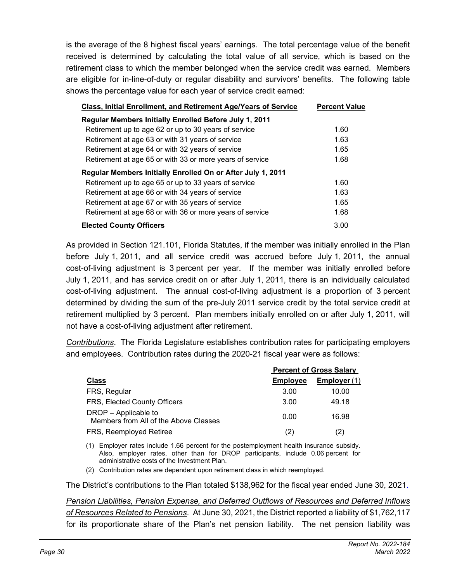is the average of the 8 highest fiscal years' earnings. The total percentage value of the benefit received is determined by calculating the total value of all service, which is based on the retirement class to which the member belonged when the service credit was earned. Members are eligible for in-line-of-duty or regular disability and survivors' benefits. The following table shows the percentage value for each year of service credit earned:

| Class, Initial Enrollment, and Retirement Age/Years of Service | <b>Percent Value</b> |
|----------------------------------------------------------------|----------------------|
| <b>Regular Members Initially Enrolled Before July 1, 2011</b>  |                      |
| Retirement up to age 62 or up to 30 years of service           | 1.60                 |
| Retirement at age 63 or with 31 years of service               | 1.63                 |
| Retirement at age 64 or with 32 years of service               | 1.65                 |
| Retirement at age 65 or with 33 or more years of service       | 1.68                 |
| Regular Members Initially Enrolled On or After July 1, 2011    |                      |
| Retirement up to age 65 or up to 33 years of service           | 1.60                 |
| Retirement at age 66 or with 34 years of service               | 1.63                 |
| Retirement at age 67 or with 35 years of service               | 1.65                 |
| Retirement at age 68 or with 36 or more years of service       | 1.68                 |
| <b>Elected County Officers</b>                                 | 3.00                 |

As provided in Section 121.101, Florida Statutes, if the member was initially enrolled in the Plan before July 1, 2011, and all service credit was accrued before July 1, 2011, the annual cost-of-living adjustment is 3 percent per year. If the member was initially enrolled before July 1, 2011, and has service credit on or after July 1, 2011, there is an individually calculated cost-of-living adjustment. The annual cost-of-living adjustment is a proportion of 3 percent determined by dividing the sum of the pre-July 2011 service credit by the total service credit at retirement multiplied by 3 percent. Plan members initially enrolled on or after July 1, 2011, will not have a cost-of-living adjustment after retirement.

*Contributions*. The Florida Legislature establishes contribution rates for participating employers and employees. Contribution rates during the 2020-21 fiscal year were as follows:

|                                                               |                 | <b>Percent of Gross Salary</b> |
|---------------------------------------------------------------|-----------------|--------------------------------|
| <b>Class</b>                                                  | <b>Employee</b> | Emplover(1)                    |
| FRS, Regular                                                  | 3.00            | 10.00                          |
| FRS, Elected County Officers                                  | 3.00            | 49.18                          |
| DROP - Applicable to<br>Members from All of the Above Classes | 0.00            | 16.98                          |
| FRS, Reemployed Retiree                                       | (2)             | (2)                            |

(1) Employer rates include 1.66 percent for the postemployment health insurance subsidy. Also, employer rates, other than for DROP participants, include 0.06 percent for administrative costs of the Investment Plan.

(2) Contribution rates are dependent upon retirement class in which reemployed.

The District's contributions to the Plan totaled \$138,962 for the fiscal year ended June 30, 2021.

*Pension Liabilities, Pension Expense, and Deferred Outflows of Resources and Deferred Inflows of Resources Related to Pensions*. At June 30, 2021, the District reported a liability of \$1,762,117 for its proportionate share of the Plan's net pension liability. The net pension liability was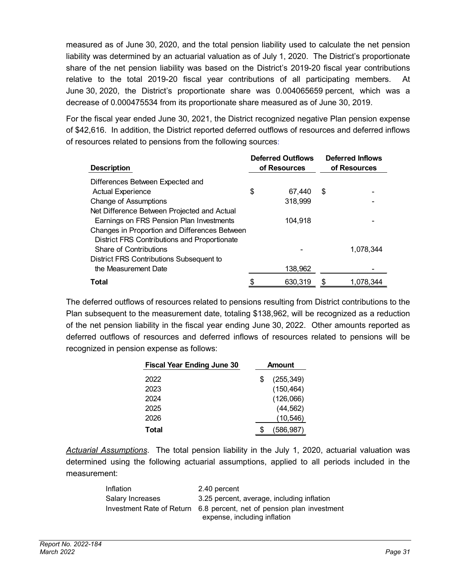measured as of June 30, 2020, and the total pension liability used to calculate the net pension liability was determined by an actuarial valuation as of July 1, 2020. The District's proportionate share of the net pension liability was based on the District's 2019-20 fiscal year contributions relative to the total 2019-20 fiscal year contributions of all participating members. At June 30, 2020, the District's proportionate share was 0.004065659 percent, which was a decrease of 0.000475534 from its proportionate share measured as of June 30, 2019.

For the fiscal year ended June 30, 2021, the District recognized negative Plan pension expense of \$42,616. In addition, the District reported deferred outflows of resources and deferred inflows of resources related to pensions from the following sources:

| <b>Description</b>                            | <b>Deferred Outflows</b><br>of Resources |         | Deferred Inflows<br>of Resources |           |
|-----------------------------------------------|------------------------------------------|---------|----------------------------------|-----------|
| Differences Between Expected and              |                                          |         |                                  |           |
| <b>Actual Experience</b>                      | \$                                       | 67.440  | S                                |           |
| <b>Change of Assumptions</b>                  |                                          | 318,999 |                                  |           |
| Net Difference Between Projected and Actual   |                                          |         |                                  |           |
| Earnings on FRS Pension Plan Investments      |                                          | 104,918 |                                  |           |
| Changes in Proportion and Differences Between |                                          |         |                                  |           |
| District FRS Contributions and Proportionate  |                                          |         |                                  |           |
| Share of Contributions                        |                                          |         |                                  | 1,078,344 |
| District FRS Contributions Subsequent to      |                                          |         |                                  |           |
| the Measurement Date                          |                                          | 138,962 |                                  |           |
| Total                                         |                                          | 630,319 |                                  | 1,078,344 |

The deferred outflows of resources related to pensions resulting from District contributions to the Plan subsequent to the measurement date, totaling \$138,962, will be recognized as a reduction of the net pension liability in the fiscal year ending June 30, 2022. Other amounts reported as deferred outflows of resources and deferred inflows of resources related to pensions will be recognized in pension expense as follows:

| <b>Fiscal Year Ending June 30</b> |    | <b>Amount</b> |  |  |
|-----------------------------------|----|---------------|--|--|
| 2022                              | \$ | (255, 349)    |  |  |
| 2023                              |    | (150, 464)    |  |  |
| 2024                              |    | (126,066)     |  |  |
| 2025                              |    | (44, 562)     |  |  |
| 2026                              |    | (10, 546)     |  |  |
| Total                             |    | (586,987)     |  |  |

*Actuarial Assumptions*. The total pension liability in the July 1, 2020, actuarial valuation was determined using the following actuarial assumptions, applied to all periods included in the measurement:

| <b>Inflation</b> | 2.40 percent                                                          |
|------------------|-----------------------------------------------------------------------|
| Salary Increases | 3.25 percent, average, including inflation                            |
|                  | Investment Rate of Return 6.8 percent, net of pension plan investment |
|                  | expense, including inflation                                          |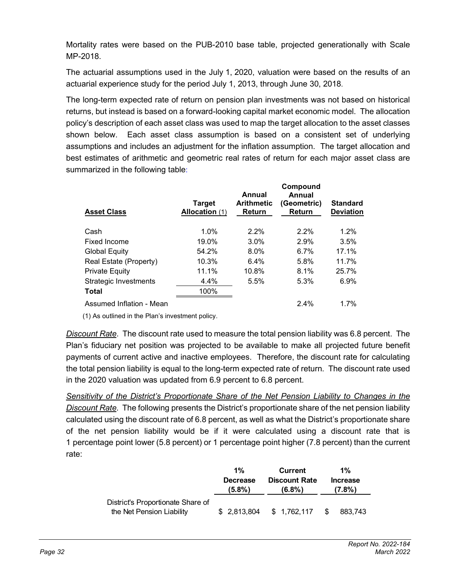Mortality rates were based on the PUB-2010 base table, projected generationally with Scale MP-2018.

The actuarial assumptions used in the July 1, 2020, valuation were based on the results of an actuarial experience study for the period July 1, 2013, through June 30, 2018.

The long-term expected rate of return on pension plan investments was not based on historical returns, but instead is based on a forward-looking capital market economic model. The allocation policy's description of each asset class was used to map the target allocation to the asset classes shown below. Each asset class assumption is based on a consistent set of underlying assumptions and includes an adjustment for the inflation assumption. The target allocation and best estimates of arithmetic and geometric real rates of return for each major asset class are summarized in the following table:

| <b>Asset Class</b>           | <b>Target</b><br>Allocation (1) | Annual<br><b>Arithmetic</b><br>Return | Compound<br>Annual<br>(Geometric)<br>Return | <b>Standard</b><br><b>Deviation</b> |
|------------------------------|---------------------------------|---------------------------------------|---------------------------------------------|-------------------------------------|
| Cash                         | 1.0%                            | $2.2\%$                               | $2.2\%$                                     | 1.2%                                |
| Fixed Income                 | 19.0%                           | $3.0\%$                               | 2.9%                                        | 3.5%                                |
| <b>Global Equity</b>         | 54.2%                           | 8.0%                                  | 6.7%                                        | 17.1%                               |
| Real Estate (Property)       | 10.3%                           | 6.4%                                  | 5.8%                                        | 11.7%                               |
| <b>Private Equity</b>        | 11.1%                           | 10.8%                                 | 8.1%                                        | 25.7%                               |
| <b>Strategic Investments</b> | 4.4%                            | 5.5%                                  | 5.3%                                        | 6.9%                                |
| Total                        | 100%                            |                                       |                                             |                                     |
| Assumed Inflation - Mean     |                                 |                                       | 2.4%                                        | 1.7%                                |

(1) As outlined in the Plan's investment policy.

*Discount Rate*. The discount rate used to measure the total pension liability was 6.8 percent. The Plan's fiduciary net position was projected to be available to make all projected future benefit payments of current active and inactive employees. Therefore, the discount rate for calculating the total pension liability is equal to the long-term expected rate of return. The discount rate used in the 2020 valuation was updated from 6.9 percent to 6.8 percent.

*Sensitivity of the District's Proportionate Share of the Net Pension Liability to Changes in the Discount Rate*. The following presents the District's proportionate share of the net pension liability calculated using the discount rate of 6.8 percent, as well as what the District's proportionate share of the net pension liability would be if it were calculated using a discount rate that is 1 percentage point lower (5.8 percent) or 1 percentage point higher (7.8 percent) than the current rate:

|                                                                | $1\%$                     | Current                           | $1\%$                     |
|----------------------------------------------------------------|---------------------------|-----------------------------------|---------------------------|
|                                                                | <b>Decrease</b><br>(5.8%) | <b>Discount Rate</b><br>$(6.8\%)$ | <b>Increase</b><br>(7.8%) |
| District's Proportionate Share of<br>the Net Pension Liability |                           | $$2,813,804$ $$1,762,117$         | 883.743<br>- \$           |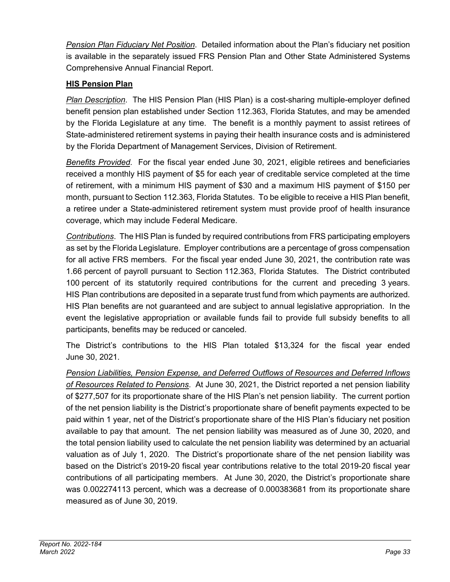*Pension Plan Fiduciary Net Position*. Detailed information about the Plan's fiduciary net position is available in the separately issued FRS Pension Plan and Other State Administered Systems Comprehensive Annual Financial Report.

# **HIS Pension Plan**

*Plan Description*. The HIS Pension Plan (HIS Plan) is a cost-sharing multiple-employer defined benefit pension plan established under Section 112.363, Florida Statutes, and may be amended by the Florida Legislature at any time. The benefit is a monthly payment to assist retirees of State-administered retirement systems in paying their health insurance costs and is administered by the Florida Department of Management Services, Division of Retirement.

*Benefits Provided*. For the fiscal year ended June 30, 2021, eligible retirees and beneficiaries received a monthly HIS payment of \$5 for each year of creditable service completed at the time of retirement, with a minimum HIS payment of \$30 and a maximum HIS payment of \$150 per month, pursuant to Section 112.363, Florida Statutes. To be eligible to receive a HIS Plan benefit, a retiree under a State-administered retirement system must provide proof of health insurance coverage, which may include Federal Medicare.

*Contributions*. The HIS Plan is funded by required contributions from FRS participating employers as set by the Florida Legislature. Employer contributions are a percentage of gross compensation for all active FRS members. For the fiscal year ended June 30, 2021, the contribution rate was 1.66 percent of payroll pursuant to Section 112.363, Florida Statutes. The District contributed 100 percent of its statutorily required contributions for the current and preceding 3 years. HIS Plan contributions are deposited in a separate trust fund from which payments are authorized. HIS Plan benefits are not guaranteed and are subject to annual legislative appropriation. In the event the legislative appropriation or available funds fail to provide full subsidy benefits to all participants, benefits may be reduced or canceled.

The District's contributions to the HIS Plan totaled \$13,324 for the fiscal year ended June 30, 2021.

*Pension Liabilities, Pension Expense, and Deferred Outflows of Resources and Deferred Inflows of Resources Related to Pensions*. At June 30, 2021, the District reported a net pension liability of \$277,507 for its proportionate share of the HIS Plan's net pension liability. The current portion of the net pension liability is the District's proportionate share of benefit payments expected to be paid within 1 year, net of the District's proportionate share of the HIS Plan's fiduciary net position available to pay that amount. The net pension liability was measured as of June 30, 2020, and the total pension liability used to calculate the net pension liability was determined by an actuarial valuation as of July 1, 2020. The District's proportionate share of the net pension liability was based on the District's 2019-20 fiscal year contributions relative to the total 2019-20 fiscal year contributions of all participating members. At June 30, 2020, the District's proportionate share was 0.002274113 percent, which was a decrease of 0.000383681 from its proportionate share measured as of June 30, 2019.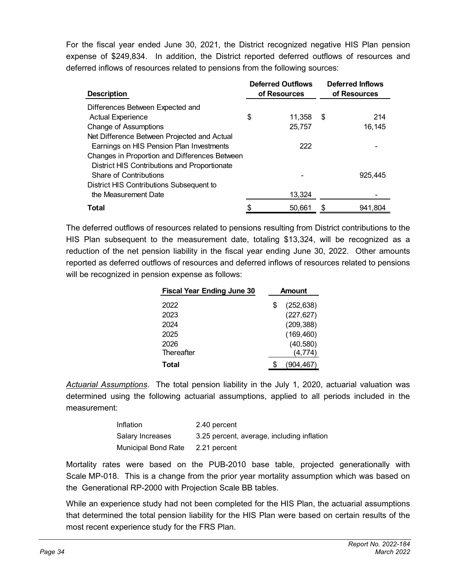For the fiscal year ended June 30, 2021, the District recognized negative HIS Plan pension expense of \$249,834. In addition, the District reported deferred outflows of resources and deferred inflows of resources related to pensions from the following sources:

| <b>Description</b>                            | <b>Deferred Outflows</b><br>of Resources | <b>Deferred Inflows</b><br>of Resources |
|-----------------------------------------------|------------------------------------------|-----------------------------------------|
| Differences Between Expected and              |                                          |                                         |
| <b>Actual Experience</b>                      | \$<br>11.358                             | \$<br>214                               |
| <b>Change of Assumptions</b>                  | 25,757                                   | 16,145                                  |
| Net Difference Between Projected and Actual   |                                          |                                         |
| Earnings on HIS Pension Plan Investments      | 222                                      |                                         |
| Changes in Proportion and Differences Between |                                          |                                         |
| District HIS Contributions and Proportionate  |                                          |                                         |
| <b>Share of Contributions</b>                 |                                          | 925.445                                 |
| District HIS Contributions Subsequent to      |                                          |                                         |
| the Measurement Date                          | 13,324                                   |                                         |
| <b>Total</b>                                  | 50,661                                   | \$<br>941,804                           |

The deferred outflows of resources related to pensions resulting from District contributions to the HIS Plan subsequent to the measurement date, totaling \$13,324, will be recognized as a reduction of the net pension liability in the fiscal year ending June 30, 2022. Other amounts reported as deferred outflows of resources and deferred inflows of resources related to pensions will be recognized in pension expense as follows:

| <b>Fiscal Year Ending June 30</b> |    | Amount     |
|-----------------------------------|----|------------|
| 2022                              | \$ | (252, 638) |
| 2023                              |    | (227, 627) |
| 2024                              |    | (209, 388) |
| 2025                              |    | (169, 460) |
| 2026                              |    | (40, 580)  |
| Thereafter                        |    | (4,774)    |
| Total                             |    | 904.467    |

*Actuarial Assumptions*. The total pension liability in the July 1, 2020, actuarial valuation was determined using the following actuarial assumptions, applied to all periods included in the measurement:

| Inflation                  | 2.40 percent                               |
|----------------------------|--------------------------------------------|
| Salary Increases           | 3.25 percent, average, including inflation |
| <b>Municipal Bond Rate</b> | 2.21 percent                               |

Mortality rates were based on the PUB-2010 base table, projected generationally with Scale MP-018. This is a change from the prior year mortality assumption which was based on the Generational RP-2000 with Projection Scale BB tables.

While an experience study had not been completed for the HIS Plan, the actuarial assumptions that determined the total pension liability for the HIS Plan were based on certain results of the most recent experience study for the FRS Plan.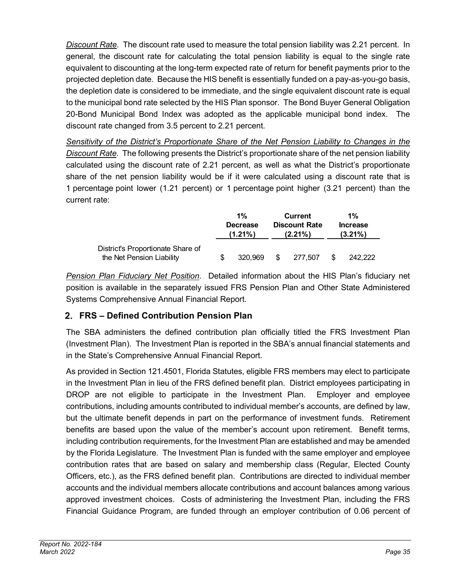*Discount Rate*. The discount rate used to measure the total pension liability was 2.21 percent. In general, the discount rate for calculating the total pension liability is equal to the single rate equivalent to discounting at the long-term expected rate of return for benefit payments prior to the projected depletion date. Because the HIS benefit is essentially funded on a pay-as-you-go basis, the depletion date is considered to be immediate, and the single equivalent discount rate is equal to the municipal bond rate selected by the HIS Plan sponsor. The Bond Buyer General Obligation 20-Bond Municipal Bond Index was adopted as the applicable municipal bond index. The discount rate changed from 3.5 percent to 2.21 percent.

*Sensitivity of the District's Proportionate Share of the Net Pension Liability to Changes in the Discount Rate*. The following presents the District's proportionate share of the net pension liability calculated using the discount rate of 2.21 percent, as well as what the District's proportionate share of the net pension liability would be if it were calculated using a discount rate that is 1 percentage point lower (1.21 percent) or 1 percentage point higher (3.21 percent) than the current rate:

|                                   |                               | 1%      |                                    | <b>Current</b> |                               | 1%      |
|-----------------------------------|-------------------------------|---------|------------------------------------|----------------|-------------------------------|---------|
|                                   | <b>Decrease</b><br>$(1.21\%)$ |         | <b>Discount Rate</b><br>$(2.21\%)$ |                | <b>Increase</b><br>$(3.21\%)$ |         |
| District's Proportionate Share of |                               |         |                                    |                |                               |         |
| the Net Pension Liability         |                               | 320.969 | \$.                                | 277.507        |                               | 242.222 |

*Pension Plan Fiduciary Net Position*. Detailed information about the HIS Plan's fiduciary net position is available in the separately issued FRS Pension Plan and Other State Administered Systems Comprehensive Annual Financial Report.

# **FRS – Defined Contribution Pension Plan**

The SBA administers the defined contribution plan officially titled the FRS Investment Plan (Investment Plan). The Investment Plan is reported in the SBA's annual financial statements and in the State's Comprehensive Annual Financial Report.

As provided in Section 121.4501, Florida Statutes, eligible FRS members may elect to participate in the Investment Plan in lieu of the FRS defined benefit plan. District employees participating in DROP are not eligible to participate in the Investment Plan. Employer and employee contributions, including amounts contributed to individual member's accounts, are defined by law, but the ultimate benefit depends in part on the performance of investment funds. Retirement benefits are based upon the value of the member's account upon retirement. Benefit terms, including contribution requirements, for the Investment Plan are established and may be amended by the Florida Legislature. The Investment Plan is funded with the same employer and employee contribution rates that are based on salary and membership class (Regular, Elected County Officers, etc.), as the FRS defined benefit plan. Contributions are directed to individual member accounts and the individual members allocate contributions and account balances among various approved investment choices. Costs of administering the Investment Plan, including the FRS Financial Guidance Program, are funded through an employer contribution of 0.06 percent of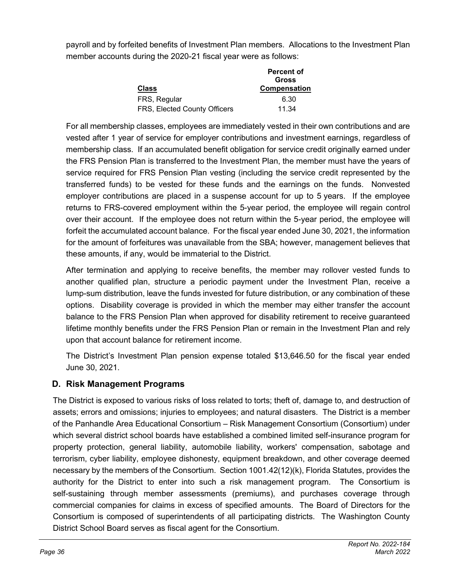payroll and by forfeited benefits of Investment Plan members. Allocations to the Investment Plan member accounts during the 2020-21 fiscal year were as follows:

|                                     | <b>Percent of</b> |
|-------------------------------------|-------------------|
|                                     | <b>Gross</b>      |
| Class                               | Compensation      |
| FRS, Regular                        | 6.30              |
| <b>FRS, Elected County Officers</b> | 11.34             |

For all membership classes, employees are immediately vested in their own contributions and are vested after 1 year of service for employer contributions and investment earnings, regardless of membership class. If an accumulated benefit obligation for service credit originally earned under the FRS Pension Plan is transferred to the Investment Plan, the member must have the years of service required for FRS Pension Plan vesting (including the service credit represented by the transferred funds) to be vested for these funds and the earnings on the funds. Nonvested employer contributions are placed in a suspense account for up to 5 years. If the employee returns to FRS-covered employment within the 5-year period, the employee will regain control over their account. If the employee does not return within the 5-year period, the employee will forfeit the accumulated account balance. For the fiscal year ended June 30, 2021, the information for the amount of forfeitures was unavailable from the SBA; however, management believes that these amounts, if any, would be immaterial to the District.

After termination and applying to receive benefits, the member may rollover vested funds to another qualified plan, structure a periodic payment under the Investment Plan, receive a lump-sum distribution, leave the funds invested for future distribution, or any combination of these options. Disability coverage is provided in which the member may either transfer the account balance to the FRS Pension Plan when approved for disability retirement to receive guaranteed lifetime monthly benefits under the FRS Pension Plan or remain in the Investment Plan and rely upon that account balance for retirement income.

The District's Investment Plan pension expense totaled \$13,646.50 for the fiscal year ended June 30, 2021.

### **D. Risk Management Programs**

The District is exposed to various risks of loss related to torts; theft of, damage to, and destruction of assets; errors and omissions; injuries to employees; and natural disasters. The District is a member of the Panhandle Area Educational Consortium – Risk Management Consortium (Consortium) under which several district school boards have established a combined limited self-insurance program for property protection, general liability, automobile liability, workers' compensation, sabotage and terrorism, cyber liability, employee dishonesty, equipment breakdown, and other coverage deemed necessary by the members of the Consortium. Section 1001.42(12)(k), Florida Statutes, provides the authority for the District to enter into such a risk management program. The Consortium is self-sustaining through member assessments (premiums), and purchases coverage through commercial companies for claims in excess of specified amounts. The Board of Directors for the Consortium is composed of superintendents of all participating districts. The Washington County District School Board serves as fiscal agent for the Consortium.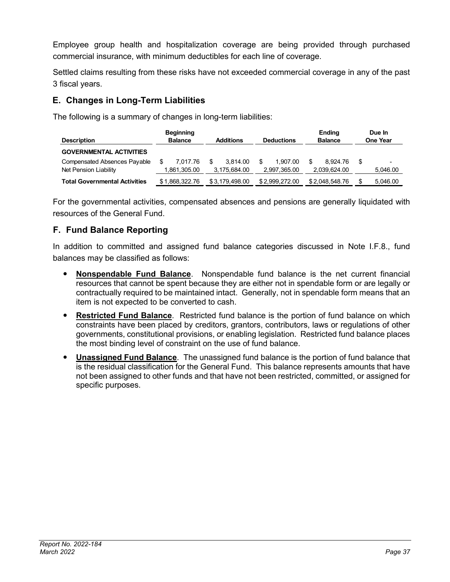Employee group health and hospitalization coverage are being provided through purchased commercial insurance, with minimum deductibles for each line of coverage.

Settled claims resulting from these risks have not exceeded commercial coverage in any of the past 3 fiscal years.

# **E. Changes in Long-Term Liabilities**

The following is a summary of changes in long-term liabilities:

| <b>Description</b>                                    | <b>Beginning</b><br><b>Balance</b> | <b>Additions</b>         | <b>Deductions</b>              | <b>Ending</b><br><b>Balance</b> | Due In<br><b>One Year</b> |  |  |
|-------------------------------------------------------|------------------------------------|--------------------------|--------------------------------|---------------------------------|---------------------------|--|--|
| <b>GOVERNMENTAL ACTIVITIES</b>                        |                                    |                          |                                |                                 |                           |  |  |
| Compensated Absences Payable<br>Net Pension Liability | 7.017.76<br>1,861,305.00           | 3.814.00<br>3.175.684.00 | \$<br>1.907.00<br>2,997,365.00 | 8.924.76<br>2.039.624.00        | S<br>5,046.00             |  |  |
| <b>Total Governmental Activities</b>                  | \$1,868,322,76                     | \$3.179.498.00           | \$2,999,272.00                 | \$2,048,548.76                  | 5,046.00                  |  |  |

For the governmental activities, compensated absences and pensions are generally liquidated with resources of the General Fund.

# **F. Fund Balance Reporting**

In addition to committed and assigned fund balance categories discussed in Note I.F.8., fund balances may be classified as follows:

- **Nonspendable Fund Balance**. Nonspendable fund balance is the net current financial resources that cannot be spent because they are either not in spendable form or are legally or contractually required to be maintained intact. Generally, not in spendable form means that an item is not expected to be converted to cash.
- **Restricted Fund Balance**. Restricted fund balance is the portion of fund balance on which constraints have been placed by creditors, grantors, contributors, laws or regulations of other governments, constitutional provisions, or enabling legislation. Restricted fund balance places the most binding level of constraint on the use of fund balance.
- **Unassigned Fund Balance**. The unassigned fund balance is the portion of fund balance that is the residual classification for the General Fund. This balance represents amounts that have not been assigned to other funds and that have not been restricted, committed, or assigned for specific purposes.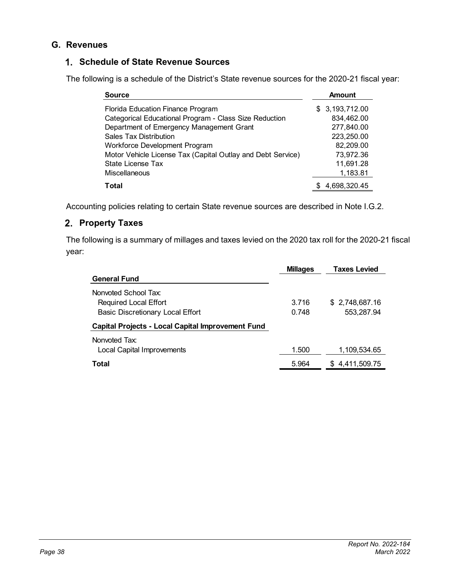#### **G. Revenues**

### **Schedule of State Revenue Sources**

The following is a schedule of the District's State revenue sources for the 2020-21 fiscal year:

| <b>Source</b>                                               | <b>Amount</b>  |
|-------------------------------------------------------------|----------------|
| Florida Education Finance Program                           | \$3,193,712.00 |
| Categorical Educational Program - Class Size Reduction      | 834,462.00     |
| Department of Emergency Management Grant                    | 277,840.00     |
| <b>Sales Tax Distribution</b>                               | 223,250.00     |
| <b>Workforce Development Program</b>                        | 82,209.00      |
| Motor Vehicle License Tax (Capital Outlay and Debt Service) | 73,972.36      |
| State License Tax                                           | 11,691.28      |
| <b>Miscellaneous</b>                                        | 1,183.81       |
| Total                                                       | 4,698,320.45   |

Accounting policies relating to certain State revenue sources are described in Note I.G.2.

#### **Property Taxes**

The following is a summary of millages and taxes levied on the 2020 tax roll for the 2020-21 fiscal year:

| <b>Taxes Levied</b> |
|---------------------|
|                     |
|                     |
| \$ 2,748,687.16     |
| 553,287.94          |
|                     |
|                     |
| 1,109,534.65        |
| \$4,411,509.75      |
|                     |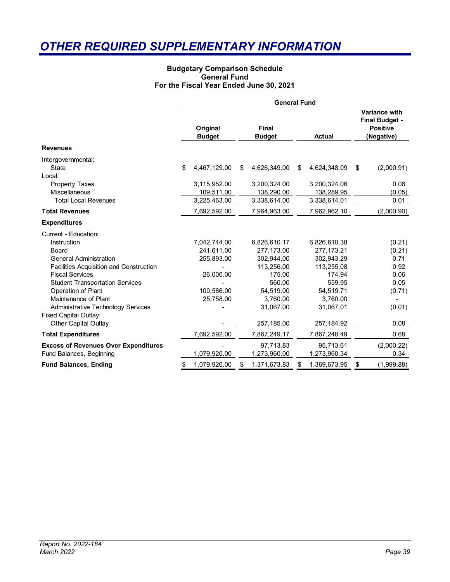# <span id="page-43-1"></span><span id="page-43-0"></span>*OTHER REQUIRED SUPPLEMENTARY INFORMATION*

#### **Budgetary Comparison Schedule General Fund For the Fiscal Year Ended June 30, 2021**

|                                                                                                                                                                                                                                                                                                                                                 | <b>General Fund</b> |                                                                                  |    |                                                                                                                                |    |                                                                                                                                |                                                                              |
|-------------------------------------------------------------------------------------------------------------------------------------------------------------------------------------------------------------------------------------------------------------------------------------------------------------------------------------------------|---------------------|----------------------------------------------------------------------------------|----|--------------------------------------------------------------------------------------------------------------------------------|----|--------------------------------------------------------------------------------------------------------------------------------|------------------------------------------------------------------------------|
|                                                                                                                                                                                                                                                                                                                                                 |                     | Original<br><b>Budget</b>                                                        |    | <b>Final</b><br><b>Budget</b>                                                                                                  |    | <b>Actual</b>                                                                                                                  | Variance with<br><b>Final Budget -</b><br><b>Positive</b><br>(Negative)      |
| <b>Revenues</b>                                                                                                                                                                                                                                                                                                                                 |                     |                                                                                  |    |                                                                                                                                |    |                                                                                                                                |                                                                              |
| Intergovernmental:<br><b>State</b><br>Local:                                                                                                                                                                                                                                                                                                    | \$                  | 4,467,129.00                                                                     | \$ | 4,626,349.00                                                                                                                   | \$ | 4,624,348.09                                                                                                                   | \$<br>(2,000.91)                                                             |
| <b>Property Taxes</b><br>Miscellaneous<br><b>Total Local Revenues</b>                                                                                                                                                                                                                                                                           |                     | 3,115,952.00<br>109,511.00<br>3,225,463.00                                       |    | 3,200,324.00<br>138,290.00<br>3,338,614.00                                                                                     |    | 3,200,324.06<br>138,289.95<br>3,338,614.01                                                                                     | 0.06<br>(0.05)<br>0.01                                                       |
| <b>Total Revenues</b>                                                                                                                                                                                                                                                                                                                           |                     | 7,692,592.00                                                                     |    | 7,964,963.00                                                                                                                   |    | 7,962,962.10                                                                                                                   | (2,000.90)                                                                   |
| <b>Expenditures</b>                                                                                                                                                                                                                                                                                                                             |                     |                                                                                  |    |                                                                                                                                |    |                                                                                                                                |                                                                              |
| Current - Education:<br>Instruction<br>Board<br><b>General Administration</b><br><b>Facilities Acquisition and Construction</b><br><b>Fiscal Services</b><br><b>Student Transportation Services</b><br>Operation of Plant<br>Maintenance of Plant<br><b>Administrative Technology Services</b><br>Fixed Capital Outlay:<br>Other Capital Outlay |                     | 7,042,744.00<br>241,611.00<br>255,893.00<br>26,000.00<br>100,586.00<br>25,758.00 |    | 6,826,610.17<br>277,173.00<br>302,944.00<br>113,256.00<br>175.00<br>560.00<br>54,519.00<br>3,760.00<br>31,067.00<br>257,185.00 |    | 6,826,610.38<br>277,173.21<br>302,943.29<br>113,255.08<br>174.94<br>559.95<br>54,519.71<br>3,760.00<br>31,067.01<br>257,184.92 | (0.21)<br>(0.21)<br>0.71<br>0.92<br>0.06<br>0.05<br>(0.71)<br>(0.01)<br>0.08 |
| <b>Total Expenditures</b>                                                                                                                                                                                                                                                                                                                       |                     | 7,692,592.00                                                                     |    | 7,867,249.17                                                                                                                   |    | 7,867,248.49                                                                                                                   | 0.68                                                                         |
| <b>Excess of Revenues Over Expenditures</b><br>Fund Balances, Beginning                                                                                                                                                                                                                                                                         |                     | 1,079,920.00                                                                     |    | 97,713.83<br>1,273,960.00                                                                                                      |    | 95,713.61<br>1,273,960.34                                                                                                      | (2,000.22)<br>0.34                                                           |
| <b>Fund Balances, Ending</b>                                                                                                                                                                                                                                                                                                                    | \$                  | 1,079,920.00                                                                     | \$ | 1,371,673.83                                                                                                                   | \$ | 1,369,673.95                                                                                                                   | \$<br>(1,999.88)                                                             |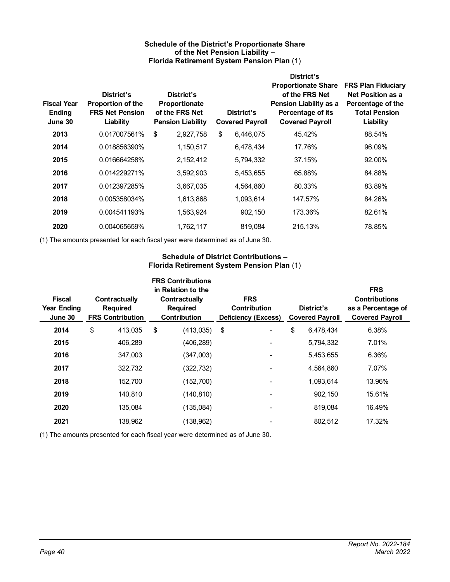#### **Schedule of the District's Proportionate Share of the Net Pension Liability – Florida Retirement System Pension Plan** (1)

<span id="page-44-2"></span><span id="page-44-0"></span>

|                    |                        |                          |                        | District's                 |                           |
|--------------------|------------------------|--------------------------|------------------------|----------------------------|---------------------------|
|                    |                        |                          |                        | <b>Proportionate Share</b> | <b>FRS Plan Fiduciary</b> |
|                    | District's             | District's               |                        | of the FRS Net             | Net Position as a         |
| <b>Fiscal Year</b> | Proportion of the      | Proportionate            |                        | Pension Liability as a     | Percentage of the         |
| <b>Ending</b>      | <b>FRS Net Pension</b> | of the FRS Net           | District's             | Percentage of its          | <b>Total Pension</b>      |
| June 30            | Liability              | <b>Pension Liability</b> | <b>Covered Payroll</b> | <b>Covered Payroll</b>     | Liability                 |
| 2013               | 0.017007561%           | \$<br>2,927,758          | \$<br>6,446,075        | 45.42%                     | 88.54%                    |
| 2014               | 0.018856390%           | 1,150,517                | 6,478,434              | 17.76%                     | 96.09%                    |
| 2015               | 0.016664258%           | 2,152,412                | 5,794,332              | 37.15%                     | 92.00%                    |
| 2016               | 0.014229271%           | 3,592,903                | 5,453,655              | 65.88%                     | 84.88%                    |
| 2017               | 0.012397285%           | 3,667,035                | 4.564.860              | 80.33%                     | 83.89%                    |
| 2018               | 0.005358034%           | 1,613,868                | 1,093,614              | 147.57%                    | 84.26%                    |
| 2019               | 0.004541193%           | 1,563,924                | 902,150                | 173.36%                    | 82.61%                    |
| 2020               | 0.004065659%           | 1,762,117                | 819.084                | 215.13%                    | 78.85%                    |

<span id="page-44-1"></span>(1) The amounts presented for each fiscal year were determined as of June 30.

#### **Schedule of District Contributions – Florida Retirement System Pension Plan** (1)

| <b>Fiscal</b><br><b>Year Ending</b><br>June 30 | Contractually<br><b>Required</b><br><b>FRS Contribution</b> | <b>FRS Contributions</b><br>in Relation to the<br>Contractually<br><b>Required</b><br><b>Contribution</b> |            | <b>FRS</b><br><b>Contribution</b><br><b>Deficiency (Excess)</b> | District's<br><b>Covered Payroll</b> | <b>FRS</b><br><b>Contributions</b><br>as a Percentage of<br><b>Covered Payroll</b> |
|------------------------------------------------|-------------------------------------------------------------|-----------------------------------------------------------------------------------------------------------|------------|-----------------------------------------------------------------|--------------------------------------|------------------------------------------------------------------------------------|
| 2014                                           | \$<br>413,035                                               | \$                                                                                                        | (413, 035) | \$                                                              | \$<br>6,478,434                      | 6.38%                                                                              |
| 2015                                           | 406,289                                                     |                                                                                                           | (406, 289) |                                                                 | 5,794,332                            | 7.01%                                                                              |
| 2016                                           | 347,003                                                     |                                                                                                           | (347,003)  |                                                                 | 5,453,655                            | 6.36%                                                                              |
| 2017                                           | 322,732                                                     |                                                                                                           | (322, 732) |                                                                 | 4,564,860                            | 7.07%                                                                              |
| 2018                                           | 152,700                                                     |                                                                                                           | (152, 700) |                                                                 | 1,093,614                            | 13.96%                                                                             |
| 2019                                           | 140,810                                                     |                                                                                                           | (140, 810) |                                                                 | 902,150                              | 15.61%                                                                             |
| 2020                                           | 135,084                                                     |                                                                                                           | (135,084)  |                                                                 | 819.084                              | 16.49%                                                                             |
| 2021                                           | 138,962                                                     |                                                                                                           | (138, 962) |                                                                 | 802,512                              | 17.32%                                                                             |
|                                                |                                                             |                                                                                                           |            |                                                                 |                                      |                                                                                    |

(1) The amounts presented for each fiscal year were determined as of June 30.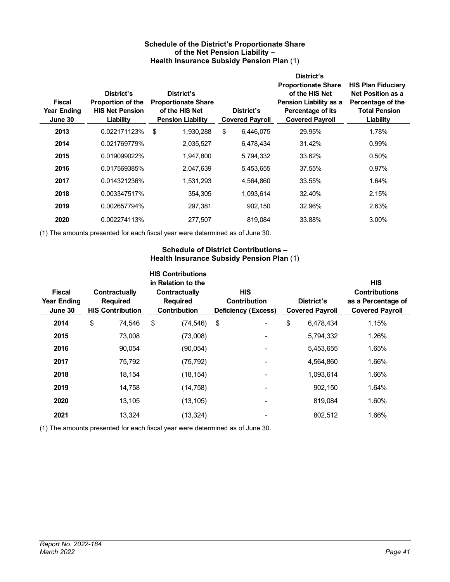#### **Schedule of the District's Proportionate Share of the Net Pension Liability – Health Insurance Subsidy Pension Plan** (1)

<span id="page-45-2"></span><span id="page-45-0"></span>

| <b>Fiscal</b><br><b>Year Ending</b><br>June 30 | District's<br><b>Proportion of the</b><br><b>HIS Net Pension</b><br>Liability | District's<br><b>Proportionate Share</b><br>of the HIS Net<br><b>Pension Liability</b> | District's<br><b>Covered Payroll</b> | District's<br><b>Proportionate Share</b><br>of the HIS Net<br>Pension Liability as a<br>Percentage of its<br><b>Covered Payroll</b> | <b>HIS Plan Fiduciary</b><br><b>Net Position as a</b><br>Percentage of the<br><b>Total Pension</b><br>Liability |  |
|------------------------------------------------|-------------------------------------------------------------------------------|----------------------------------------------------------------------------------------|--------------------------------------|-------------------------------------------------------------------------------------------------------------------------------------|-----------------------------------------------------------------------------------------------------------------|--|
| 2013                                           | 0.022171123%                                                                  | \$<br>1,930,288                                                                        | \$<br>6,446,075                      | 29.95%                                                                                                                              | 1.78%                                                                                                           |  |
| 2014                                           | 0.021769779%                                                                  | 2,035,527                                                                              | 6,478,434                            | 31.42%                                                                                                                              | 0.99%                                                                                                           |  |
| 2015                                           | 0.019099022%                                                                  | 1,947,800                                                                              | 5,794,332                            | 33.62%                                                                                                                              | 0.50%                                                                                                           |  |
| 2016                                           | 0.017569385%                                                                  | 2,047,639                                                                              | 5,453,655                            | 37.55%                                                                                                                              | 0.97%                                                                                                           |  |
| 2017                                           | 0.014321236%                                                                  | 1,531,293                                                                              | 4,564,860                            | 33.55%                                                                                                                              | 1.64%                                                                                                           |  |
| 2018                                           | 0.003347517%                                                                  | 354.305                                                                                | 1,093,614                            | 32.40%                                                                                                                              | 2.15%                                                                                                           |  |
| 2019                                           | 0.002657794%                                                                  | 297,381                                                                                | 902,150                              | 32.96%                                                                                                                              | 2.63%                                                                                                           |  |
| 2020                                           | 0.002274113%                                                                  | 277.507                                                                                | 819.084                              | 33.88%                                                                                                                              | 3.00%                                                                                                           |  |

<span id="page-45-1"></span>(1) The amounts presented for each fiscal year were determined as of June 30.

#### **Schedule of District Contributions – Health Insurance Subsidy Pension Plan** (1)

| <b>Fiscal</b><br><b>Year Ending</b><br>June 30 | Contractually<br><b>Required</b><br><b>HIS Contribution</b> | <b>HIS Contributions</b><br>in Relation to the<br><b>HIS</b><br>Contractually<br><b>Contribution</b><br><b>Required</b><br><b>Contribution</b><br><b>Deficiency (Excess)</b> |    |                 | <b>HIS</b><br><b>Contributions</b><br>as a Percentage of<br><b>Covered Payroll</b> |
|------------------------------------------------|-------------------------------------------------------------|------------------------------------------------------------------------------------------------------------------------------------------------------------------------------|----|-----------------|------------------------------------------------------------------------------------|
| 2014                                           | \$<br>74,546                                                | \$<br>(74, 546)                                                                                                                                                              | \$ | \$<br>6,478,434 | 1.15%                                                                              |
| 2015                                           | 73,008                                                      | (73,008)                                                                                                                                                                     |    | 5,794,332       | 1.26%                                                                              |
| 2016                                           | 90,054                                                      | (90, 054)                                                                                                                                                                    |    | 5,453,655       | 1.65%                                                                              |
| 2017                                           | 75,792                                                      | (75, 792)                                                                                                                                                                    |    | 4,564,860       | 1.66%                                                                              |
| 2018                                           | 18,154                                                      | (18, 154)                                                                                                                                                                    |    | 1,093,614       | 1.66%                                                                              |
| 2019                                           | 14,758                                                      | (14, 758)                                                                                                                                                                    |    | 902,150         | 1.64%                                                                              |
| 2020                                           | 13,105                                                      | (13, 105)                                                                                                                                                                    |    | 819,084         | 1.60%                                                                              |
| 2021                                           | 13,324                                                      | (13, 324)                                                                                                                                                                    |    | 802,512         | 1.66%                                                                              |
|                                                |                                                             |                                                                                                                                                                              |    |                 |                                                                                    |

(1) The amounts presented for each fiscal year were determined as of June 30.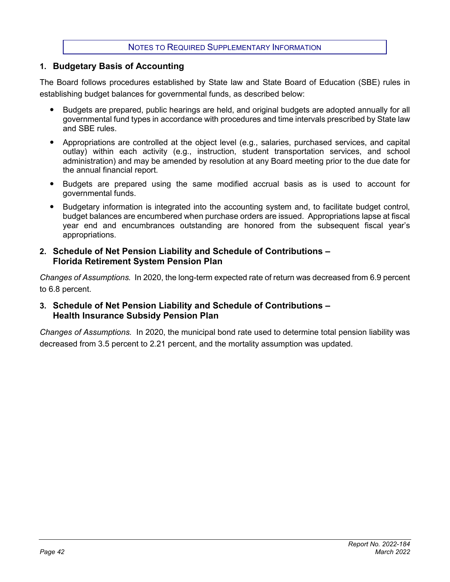#### NOTES TO REQUIRED SUPPLEMENTARY INFORMATION

#### <span id="page-46-1"></span><span id="page-46-0"></span>**1. Budgetary Basis of Accounting**

The Board follows procedures established by State law and State Board of Education (SBE) rules in establishing budget balances for governmental funds, as described below:

- Budgets are prepared, public hearings are held, and original budgets are adopted annually for all governmental fund types in accordance with procedures and time intervals prescribed by State law and SBE rules.
- Appropriations are controlled at the object level (e.g., salaries, purchased services, and capital outlay) within each activity (e.g., instruction, student transportation services, and school administration) and may be amended by resolution at any Board meeting prior to the due date for the annual financial report.
- Budgets are prepared using the same modified accrual basis as is used to account for governmental funds.
- Budgetary information is integrated into the accounting system and, to facilitate budget control, budget balances are encumbered when purchase orders are issued. Appropriations lapse at fiscal year end and encumbrances outstanding are honored from the subsequent fiscal year's appropriations.

#### **2. Schedule of Net Pension Liability and Schedule of Contributions – Florida Retirement System Pension Plan**

*Changes of Assumptions.* In 2020, the long-term expected rate of return was decreased from 6.9 percent to 6.8 percent.

#### **3. Schedule of Net Pension Liability and Schedule of Contributions – Health Insurance Subsidy Pension Plan**

*Changes of Assumptions.* In 2020, the municipal bond rate used to determine total pension liability was decreased from 3.5 percent to 2.21 percent, and the mortality assumption was updated.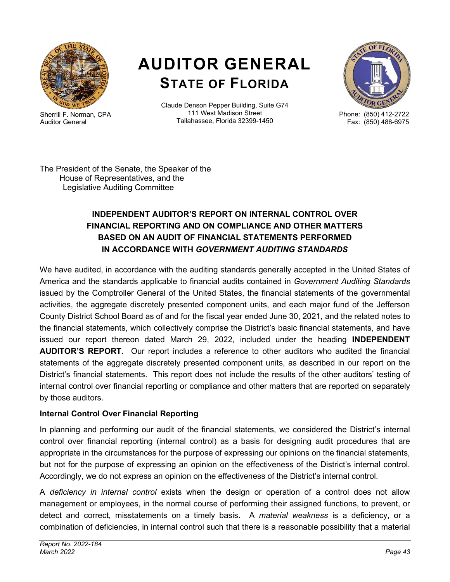<span id="page-47-1"></span>

Sherrill F. Norman, CPA Auditor General

# **AUDITOR GENERAL STATE OF FLORIDA**

Claude Denson Pepper Building, Suite G74 111 West Madison Street Tallahassee, Florida 32399-1450



Phone: (850) 412-2722 Fax: (850) 488-6975

The President of the Senate, the Speaker of the House of Representatives, and the Legislative Auditing Committee

# **INDEPENDENT AUDITOR'S REPORT ON INTERNAL CONTROL OVER FINANCIAL REPORTING AND ON COMPLIANCE AND OTHER MATTERS BASED ON AN AUDIT OF FINANCIAL STATEMENTS PERFORMED IN ACCORDANCE WITH** *GOVERNMENT AUDITING STANDARDS*

<span id="page-47-0"></span>We have audited, in accordance with the auditing standards generally accepted in the United States of America and the standards applicable to financial audits contained in *Government Auditing Standards* issued by the Comptroller General of the United States, the financial statements of the governmental activities, the aggregate discretely presented component units, and each major fund of the Jefferson County District School Board as of and for the fiscal year ended June 30, 2021, and the related notes to the financial statements, which collectively comprise the District's basic financial statements, and have issued our report thereon dated March 29, 2022, included under the heading **INDEPENDENT AUDITOR'S REPORT**. Our report includes a reference to other auditors who audited the financial statements of the aggregate discretely presented component units, as described in our report on the District's financial statements. This report does not include the results of the other auditors' testing of internal control over financial reporting or compliance and other matters that are reported on separately by those auditors.

### **Internal Control Over Financial Reporting**

In planning and performing our audit of the financial statements, we considered the District's internal control over financial reporting (internal control) as a basis for designing audit procedures that are appropriate in the circumstances for the purpose of expressing our opinions on the financial statements, but not for the purpose of expressing an opinion on the effectiveness of the District's internal control. Accordingly, we do not express an opinion on the effectiveness of the District's internal control.

A *deficiency in internal control* exists when the design or operation of a control does not allow management or employees, in the normal course of performing their assigned functions, to prevent, or detect and correct, misstatements on a timely basis. A *material weakness* is a deficiency, or a combination of deficiencies, in internal control such that there is a reasonable possibility that a material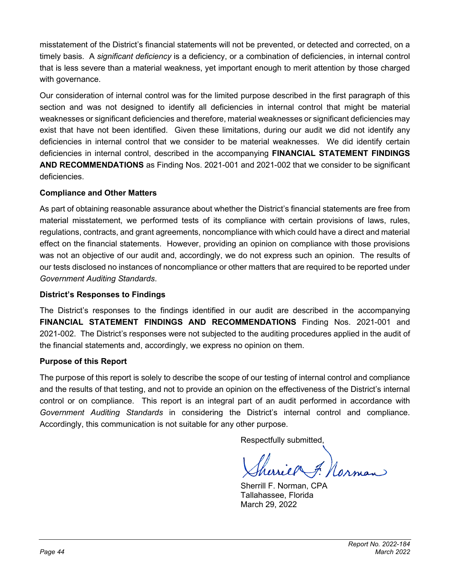misstatement of the District's financial statements will not be prevented, or detected and corrected, on a timely basis. A *significant deficiency* is a deficiency, or a combination of deficiencies, in internal control that is less severe than a material weakness, yet important enough to merit attention by those charged with governance.

Our consideration of internal control was for the limited purpose described in the first paragraph of this section and was not designed to identify all deficiencies in internal control that might be material weaknesses or significant deficiencies and therefore, material weaknesses or significant deficiencies may exist that have not been identified. Given these limitations, during our audit we did not identify any deficiencies in internal control that we consider to be material weaknesses. We did identify certain deficiencies in internal control, described in the accompanying **FINANCIAL STATEMENT FINDINGS AND RECOMMENDATIONS** as Finding Nos. 2021-001 and 2021-002 that we consider to be significant deficiencies.

#### **Compliance and Other Matters**

As part of obtaining reasonable assurance about whether the District's financial statements are free from material misstatement, we performed tests of its compliance with certain provisions of laws, rules, regulations, contracts, and grant agreements, noncompliance with which could have a direct and material effect on the financial statements. However, providing an opinion on compliance with those provisions was not an objective of our audit and, accordingly, we do not express such an opinion. The results of our tests disclosed no instances of noncompliance or other matters that are required to be reported under *Government Auditing Standards*.

#### **District's Responses to Findings**

The District's responses to the findings identified in our audit are described in the accompanying **FINANCIAL STATEMENT FINDINGS AND RECOMMENDATIONS** Finding Nos. 2021-001 and 2021-002. The District's responses were not subjected to the auditing procedures applied in the audit of the financial statements and, accordingly, we express no opinion on them.

#### **Purpose of this Report**

The purpose of this report is solely to describe the scope of our testing of internal control and compliance and the results of that testing, and not to provide an opinion on the effectiveness of the District's internal control or on compliance. This report is an integral part of an audit performed in accordance with *Government Auditing Standards* in considering the District's internal control and compliance. Accordingly, this communication is not suitable for any other purpose.

Respectfully submitted,

Sherrill F. Norman, CPA Tallahassee, Florida March 29, 2022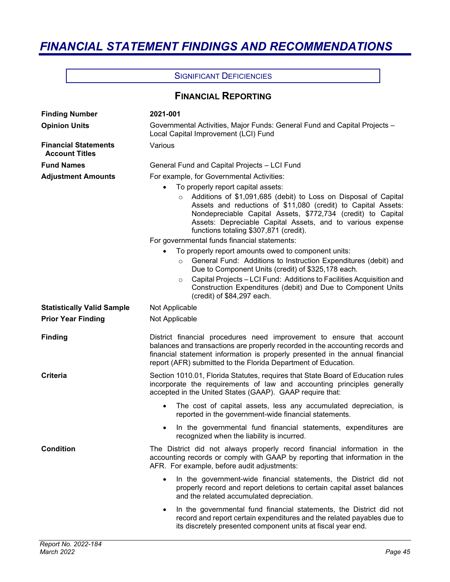# <span id="page-49-1"></span><span id="page-49-0"></span>*FINANCIAL STATEMENT FINDINGS AND RECOMMENDATIONS*

#### SIGNIFICANT DEFICIENCIES

# **FINANCIAL REPORTING**

| <b>Finding Number</b>                                | 2021-001                                                                                                                                                                                                                                                                                                                                                                 |
|------------------------------------------------------|--------------------------------------------------------------------------------------------------------------------------------------------------------------------------------------------------------------------------------------------------------------------------------------------------------------------------------------------------------------------------|
| <b>Opinion Units</b>                                 | Governmental Activities, Major Funds: General Fund and Capital Projects -<br>Local Capital Improvement (LCI) Fund                                                                                                                                                                                                                                                        |
| <b>Financial Statements</b><br><b>Account Titles</b> | Various                                                                                                                                                                                                                                                                                                                                                                  |
| <b>Fund Names</b>                                    | General Fund and Capital Projects - LCI Fund                                                                                                                                                                                                                                                                                                                             |
| <b>Adjustment Amounts</b>                            | For example, for Governmental Activities:                                                                                                                                                                                                                                                                                                                                |
|                                                      | To properly report capital assets:<br>$\bullet$<br>Additions of \$1,091,685 (debit) to Loss on Disposal of Capital<br>$\circ$<br>Assets and reductions of \$11,080 (credit) to Capital Assets:<br>Nondepreciable Capital Assets, \$772,734 (credit) to Capital<br>Assets: Depreciable Capital Assets, and to various expense<br>functions totaling \$307,871 (credit).   |
|                                                      | For governmental funds financial statements:                                                                                                                                                                                                                                                                                                                             |
|                                                      | To properly report amounts owed to component units:<br>General Fund: Additions to Instruction Expenditures (debit) and<br>$\circ$<br>Due to Component Units (credit) of \$325,178 each.<br>Capital Projects - LCI Fund: Additions to Facilities Acquisition and<br>$\circ$<br>Construction Expenditures (debit) and Due to Component Units<br>(credit) of \$84,297 each. |
| <b>Statistically Valid Sample</b>                    | Not Applicable                                                                                                                                                                                                                                                                                                                                                           |
| <b>Prior Year Finding</b>                            | Not Applicable                                                                                                                                                                                                                                                                                                                                                           |
| <b>Finding</b>                                       | District financial procedures need improvement to ensure that account<br>balances and transactions are properly recorded in the accounting records and<br>financial statement information is properly presented in the annual financial<br>report (AFR) submitted to the Florida Department of Education.                                                                |
| Criteria                                             | Section 1010.01, Florida Statutes, requires that State Board of Education rules<br>incorporate the requirements of law and accounting principles generally<br>accepted in the United States (GAAP). GAAP require that:                                                                                                                                                   |
|                                                      | The cost of capital assets, less any accumulated depreciation, is<br>$\bullet$<br>reported in the government-wide financial statements.                                                                                                                                                                                                                                  |
|                                                      | In the governmental fund financial statements, expenditures are<br>$\bullet$<br>recognized when the liability is incurred.                                                                                                                                                                                                                                               |
| <b>Condition</b>                                     | The District did not always properly record financial information in the<br>accounting records or comply with GAAP by reporting that information in the<br>AFR. For example, before audit adjustments:                                                                                                                                                                   |
|                                                      | In the government-wide financial statements, the District did not<br>$\bullet$<br>properly record and report deletions to certain capital asset balances<br>and the related accumulated depreciation.                                                                                                                                                                    |
|                                                      | In the governmental fund financial statements, the District did not<br>$\bullet$<br>record and report certain expenditures and the related payables due to<br>its discretely presented component units at fiscal year end.                                                                                                                                               |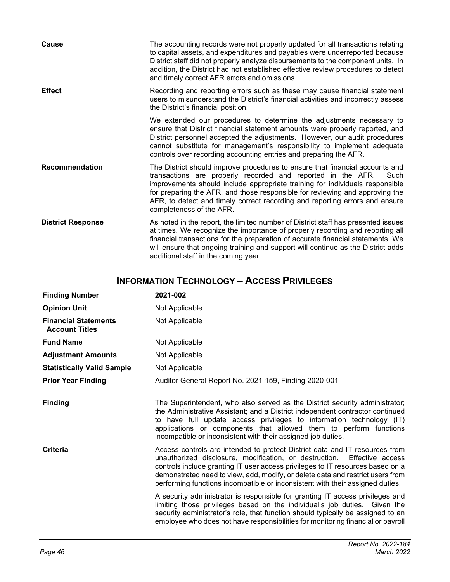| Cause                    | The accounting records were not properly updated for all transactions relating<br>to capital assets, and expenditures and payables were underreported because<br>District staff did not properly analyze disbursements to the component units. In<br>addition, the District had not established effective review procedures to detect<br>and timely correct AFR errors and omissions.                                          |
|--------------------------|--------------------------------------------------------------------------------------------------------------------------------------------------------------------------------------------------------------------------------------------------------------------------------------------------------------------------------------------------------------------------------------------------------------------------------|
| <b>Effect</b>            | Recording and reporting errors such as these may cause financial statement<br>users to misunderstand the District's financial activities and incorrectly assess<br>the District's financial position.                                                                                                                                                                                                                          |
|                          | We extended our procedures to determine the adjustments necessary to<br>ensure that District financial statement amounts were properly reported, and<br>District personnel accepted the adjustments. However, our audit procedures<br>cannot substitute for management's responsibility to implement adequate<br>controls over recording accounting entries and preparing the AFR.                                             |
| <b>Recommendation</b>    | The District should improve procedures to ensure that financial accounts and<br>transactions are properly recorded and reported in the AFR.<br>Such<br>improvements should include appropriate training for individuals responsible<br>for preparing the AFR, and those responsible for reviewing and approving the<br>AFR, to detect and timely correct recording and reporting errors and ensure<br>completeness of the AFR. |
| <b>District Response</b> | As noted in the report, the limited number of District staff has presented issues<br>at times. We recognize the importance of properly recording and reporting all<br>financial transactions for the preparation of accurate financial statements. We<br>will ensure that ongoing training and support will continue as the District adds<br>additional staff in the coming year.                                              |

# **INFORMATION TECHNOLOGY – ACCESS PRIVILEGES**

| <b>Finding Number</b>                                | 2021-002                                                                                                                                                                                                                                                                                                                                                                                                    |
|------------------------------------------------------|-------------------------------------------------------------------------------------------------------------------------------------------------------------------------------------------------------------------------------------------------------------------------------------------------------------------------------------------------------------------------------------------------------------|
| <b>Opinion Unit</b>                                  | Not Applicable                                                                                                                                                                                                                                                                                                                                                                                              |
| <b>Financial Statements</b><br><b>Account Titles</b> | Not Applicable                                                                                                                                                                                                                                                                                                                                                                                              |
| <b>Fund Name</b>                                     | Not Applicable                                                                                                                                                                                                                                                                                                                                                                                              |
| <b>Adjustment Amounts</b>                            | Not Applicable                                                                                                                                                                                                                                                                                                                                                                                              |
| <b>Statistically Valid Sample</b>                    | Not Applicable                                                                                                                                                                                                                                                                                                                                                                                              |
| <b>Prior Year Finding</b>                            | Auditor General Report No. 2021-159, Finding 2020-001                                                                                                                                                                                                                                                                                                                                                       |
| <b>Finding</b>                                       | The Superintendent, who also served as the District security administrator;<br>the Administrative Assistant; and a District independent contractor continued<br>to have full update access privileges to information technology (IT)<br>applications or components that allowed them to perform functions<br>incompatible or inconsistent with their assigned job duties.                                   |
| Criteria                                             | Access controls are intended to protect District data and IT resources from<br>unauthorized disclosure, modification, or destruction. Effective access<br>controls include granting IT user access privileges to IT resources based on a<br>demonstrated need to view, add, modify, or delete data and restrict users from<br>performing functions incompatible or inconsistent with their assigned duties. |
|                                                      | A security administrator is responsible for granting IT access privileges and<br>limiting those privileges based on the individual's job duties. Given the<br>security administrator's role, that function should typically be assigned to an<br>employee who does not have responsibilities for monitoring financial or payroll                                                                            |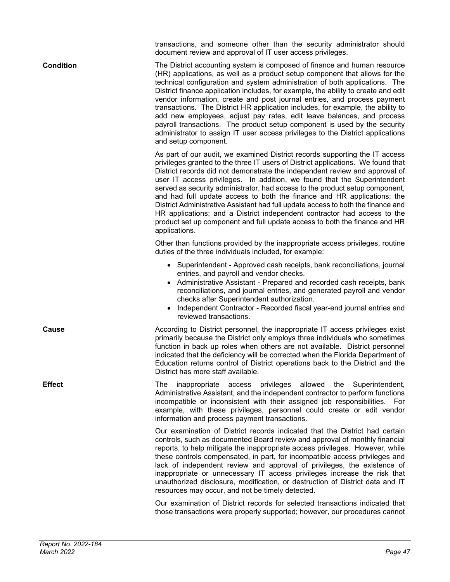|                  | transactions, and someone other than the security administrator should<br>document review and approval of IT user access privileges.                                                                                                                                                                                                                                                                                                                                                                                                                                                                                                                                                                                                                        |
|------------------|-------------------------------------------------------------------------------------------------------------------------------------------------------------------------------------------------------------------------------------------------------------------------------------------------------------------------------------------------------------------------------------------------------------------------------------------------------------------------------------------------------------------------------------------------------------------------------------------------------------------------------------------------------------------------------------------------------------------------------------------------------------|
| <b>Condition</b> | The District accounting system is composed of finance and human resource<br>(HR) applications, as well as a product setup component that allows for the<br>technical configuration and system administration of both applications. The<br>District finance application includes, for example, the ability to create and edit<br>vendor information, create and post journal entries, and process payment<br>transactions. The District HR application includes, for example, the ability to<br>add new employees, adjust pay rates, edit leave balances, and process<br>payroll transactions. The product setup component is used by the security<br>administrator to assign IT user access privileges to the District applications<br>and setup component. |
|                  | As part of our audit, we examined District records supporting the IT access<br>privileges granted to the three IT users of District applications. We found that<br>District records did not demonstrate the independent review and approval of<br>user IT access privileges. In addition, we found that the Superintendent<br>served as security administrator, had access to the product setup component,<br>and had full update access to both the finance and HR applications; the<br>District Administrative Assistant had full update access to both the finance and<br>HR applications; and a District independent contractor had access to the<br>product set up component and full update access to both the finance and HR<br>applications.        |
|                  | Other than functions provided by the inappropriate access privileges, routine<br>duties of the three individuals included, for example:                                                                                                                                                                                                                                                                                                                                                                                                                                                                                                                                                                                                                     |
|                  | • Superintendent - Approved cash receipts, bank reconciliations, journal<br>entries, and payroll and vendor checks.<br>• Administrative Assistant - Prepared and recorded cash receipts, bank<br>reconciliations, and journal entries, and generated payroll and vendor<br>checks after Superintendent authorization.<br>Independent Contractor - Recorded fiscal year-end journal entries and<br>reviewed transactions.                                                                                                                                                                                                                                                                                                                                    |
| <b>Cause</b>     | According to District personnel, the inappropriate IT access privileges exist<br>primarily because the District only employs three individuals who sometimes<br>function in back up roles when others are not available. District personnel<br>indicated that the deficiency will be corrected when the Florida Department of<br>Education returns control of District operations back to the District and the<br>District has more staff available.                                                                                                                                                                                                                                                                                                        |
| <b>Effect</b>    | The<br>inappropriate access privileges allowed the<br>Superintendent,<br>Administrative Assistant, and the independent contractor to perform functions<br>incompatible or inconsistent with their assigned job responsibilities. For<br>example, with these privileges, personnel could create or edit vendor<br>information and process payment transactions.                                                                                                                                                                                                                                                                                                                                                                                              |
|                  | Our examination of District records indicated that the District had certain<br>controls, such as documented Board review and approval of monthly financial<br>reports, to help mitigate the inappropriate access privileges. However, while<br>these controls compensated, in part, for incompatible access privileges and<br>lack of independent review and approval of privileges, the existence of<br>inappropriate or unnecessary IT access privileges increase the risk that<br>unauthorized disclosure, modification, or destruction of District data and IT<br>resources may occur, and not be timely detected.                                                                                                                                      |
|                  | Our examination of District records for selected transactions indicated that<br>those transactions were properly supported; however, our procedures cannot                                                                                                                                                                                                                                                                                                                                                                                                                                                                                                                                                                                                  |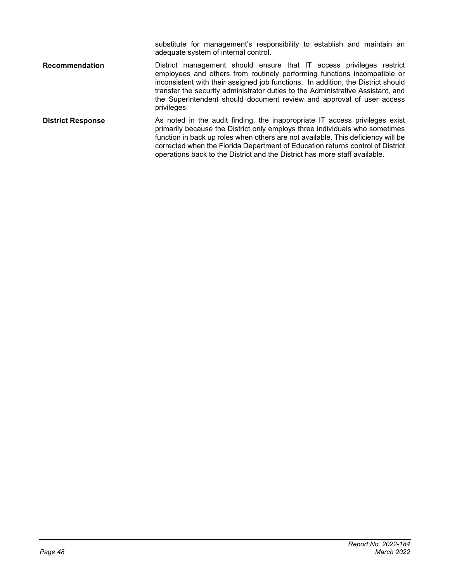|                          | substitute for management's responsibility to establish and maintain an<br>adequate system of internal control.                                                                                                                                                                                                                                                                                                 |
|--------------------------|-----------------------------------------------------------------------------------------------------------------------------------------------------------------------------------------------------------------------------------------------------------------------------------------------------------------------------------------------------------------------------------------------------------------|
| Recommendation           | District management should ensure that IT access privileges restrict<br>employees and others from routinely performing functions incompatible or<br>inconsistent with their assigned job functions. In addition, the District should<br>transfer the security administrator duties to the Administrative Assistant, and<br>the Superintendent should document review and approval of user access<br>privileges. |
| <b>District Response</b> | As noted in the audit finding, the inappropriate IT access privileges exist<br>primarily because the District only employs three individuals who sometimes<br>function in back up roles when others are not available. This deficiency will be<br>corrected when the Florida Department of Education returns control of District<br>operations back to the District and the District has more staff available.  |